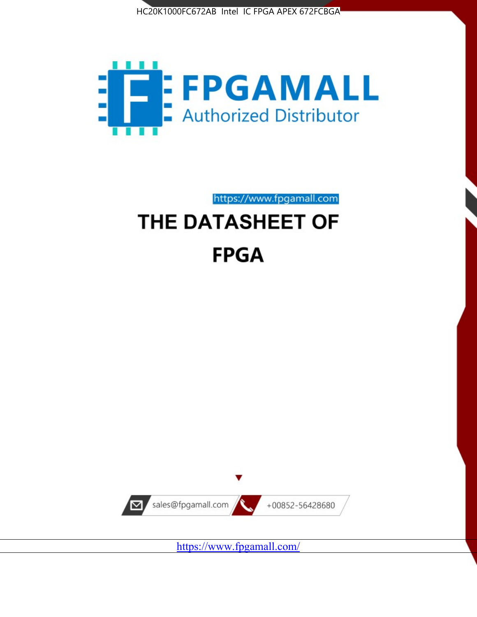



https://www.fpgamall.com

# THE DATASHEET OF **FPGA**



<https://www.fpgamall.com/>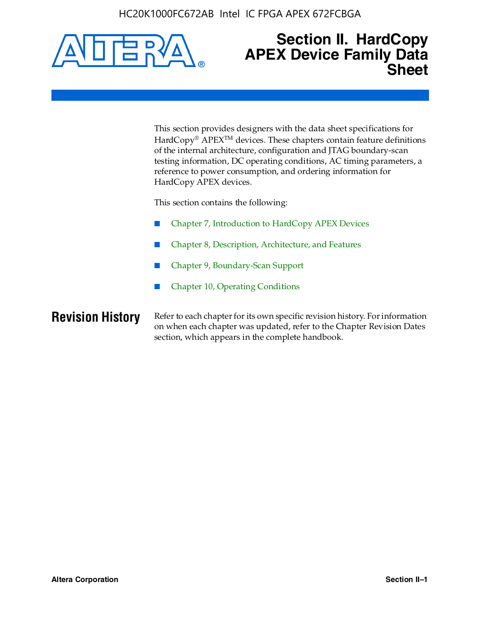HC20K1000FC672AB Intel IC FPGA APEX 672FCBGA



### **Section II. HardCopy APEX Device Family Data Sheet**

This section provides designers with the data sheet specifications for HardCopy<sup>®</sup> APEX<sup>™</sup> devices. These chapters contain feature definitions of the internal architecture, configuration and JTAG boundary-scan testing information, DC operating conditions, AC timing parameters, a reference to power consumption, and ordering information for HardCopy APEX devices.

This section contains the following:

- Chapter 7, Introduction to HardCopy APEX Devices
- Chapter 8, Description, Architecture, and Features
- Chapter 9, Boundary-Scan Support
- Chapter 10, Operating Conditions

**Revision History** Refer to each chapter for its own specific revision history. For information on when each chapter was updated, refer to the Chapter Revision Dates section, which appears in the complete handbook.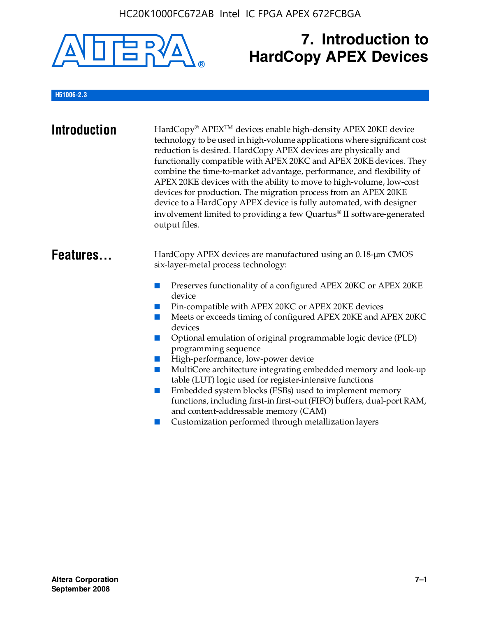

## **7. Introduction to HardCopy APEX Devices**

#### **H51006-2.3**

| <b>Introduction</b> | HardCopy® APEX <sup>™</sup> devices enable high-density APEX 20KE device<br>technology to be used in high-volume applications where significant cost<br>reduction is desired. HardCopy APEX devices are physically and<br>functionally compatible with APEX 20KC and APEX 20KE devices. They<br>combine the time-to-market advantage, performance, and flexibility of<br>APEX 20KE devices with the ability to move to high-volume, low-cost<br>devices for production. The migration process from an APEX 20KE<br>device to a HardCopy APEX device is fully automated, with designer<br>involvement limited to providing a few Quartus® II software-generated<br>output files.                                                                                                                                    |
|---------------------|--------------------------------------------------------------------------------------------------------------------------------------------------------------------------------------------------------------------------------------------------------------------------------------------------------------------------------------------------------------------------------------------------------------------------------------------------------------------------------------------------------------------------------------------------------------------------------------------------------------------------------------------------------------------------------------------------------------------------------------------------------------------------------------------------------------------|
| Features            | HardCopy APEX devices are manufactured using an 0.18-um CMOS<br>six-layer-metal process technology:<br>Preserves functionality of a configured APEX 20KC or APEX 20KE<br>device<br>Pin-compatible with APEX 20KC or APEX 20KE devices<br>Meets or exceeds timing of configured APEX 20KE and APEX 20KC<br>devices<br>Optional emulation of original programmable logic device (PLD)<br>programming sequence<br>High-performance, low-power device<br>MultiCore architecture integrating embedded memory and look-up<br>table (LUT) logic used for register-intensive functions<br>Embedded system blocks (ESBs) used to implement memory<br>functions, including first-in first-out (FIFO) buffers, dual-port RAM,<br>and content-addressable memory (CAM)<br>Customization performed through metallization layers |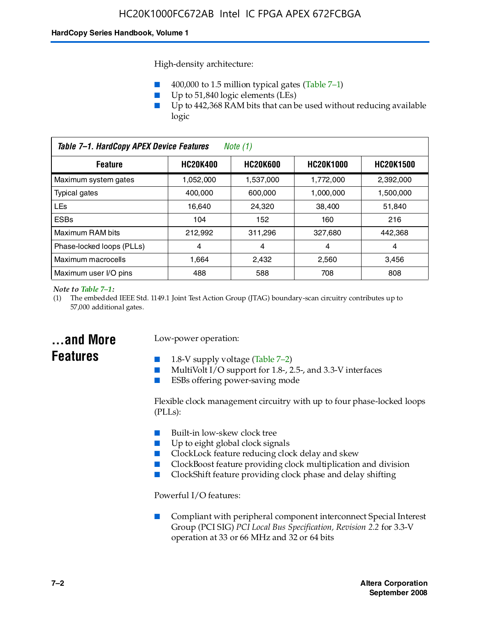High-density architecture:

- 400,000 to 1.5 million typical gates (Table 7–1)
- Up to 51,840 logic elements (LEs)
- Up to 442,368 RAM bits that can be used without reducing available logic

| Table 7-1. HardCopy APEX Device Features<br>Note $(1)$ |                 |                 |                  |                  |
|--------------------------------------------------------|-----------------|-----------------|------------------|------------------|
| <b>Feature</b>                                         | <b>HC20K400</b> | <b>HC20K600</b> | <b>HC20K1000</b> | <b>HC20K1500</b> |
| Maximum system gates                                   | 1,052,000       | 1,537,000       | 1,772,000        | 2,392,000        |
| <b>Typical gates</b>                                   | 400.000         | 600,000         | 1.000.000        | 1,500,000        |
| <b>LEs</b>                                             | 16.640          | 24.320          | 38.400           | 51,840           |
| <b>ESBs</b>                                            | 104             | 152             | 160              | 216              |
| Maximum RAM bits                                       | 212.992         | 311,296         | 327.680          | 442,368          |
| Phase-locked loops (PLLs)                              | 4               | 4               | 4                | 4                |
| Maximum macrocells                                     | 1.664           | 2,432           | 2,560            | 3,456            |
| Maximum user I/O pins                                  | 488             | 588             | 708              | 808              |

#### *Note to Table 7–1:*

(1) The embedded IEEE Std. 1149.1 Joint Test Action Group (JTAG) boundary-scan circuitry contributes up to 57,000 additional gates.

### **...and More Features**

#### Low-power operation:

- 1.8-V supply voltage (Table  $7-2$ )
- MultiVolt I/O support for 1.8-, 2.5-, and 3.3-V interfaces
- ESBs offering power-saving mode

Flexible clock management circuitry with up to four phase-locked loops (PLLs):

- Built-in low-skew clock tree
- Up to eight global clock signals
- ClockLock feature reducing clock delay and skew
- ClockBoost feature providing clock multiplication and division
- ClockShift feature providing clock phase and delay shifting

Powerful I/O features:

■ Compliant with peripheral component interconnect Special Interest Group (PCI SIG) *PCI Local Bus Specification, Revision 2.2* for 3.3-V operation at 33 or 66 MHz and 32 or 64 bits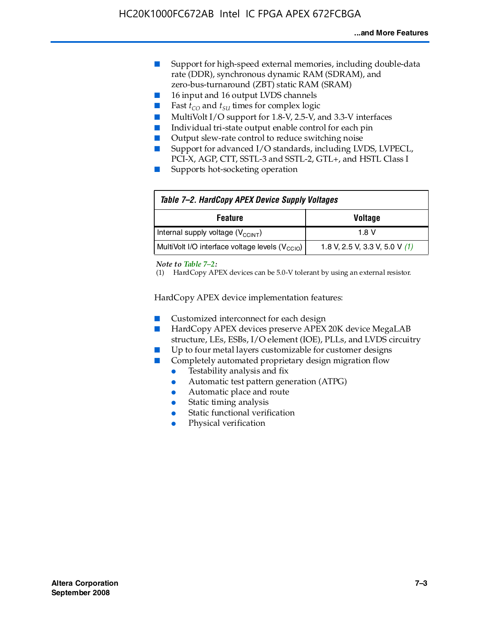- Support for high-speed external memories, including double-data rate (DDR), synchronous dynamic RAM (SDRAM), and zero-bus-turnaround (ZBT) static RAM (SRAM)
- 16 input and 16 output LVDS channels
- Fast  $t_{CO}$  and  $t_{SU}$  times for complex logic
- MultiVolt I/O support for 1.8-V, 2.5-V, and 3.3-V interfaces
- Individual tri-state output enable control for each pin
- Output slew-rate control to reduce switching noise
- Support for advanced I/O standards, including LVDS, LVPECL, PCI-X, AGP, CTT, SSTL-3 and SSTL-2, GTL+, and HSTL Class I
- Supports hot-socketing operation

| Table 7-2. HardCopy APEX Device Supply Voltages             |                                  |
|-------------------------------------------------------------|----------------------------------|
| <b>Voltage</b><br><b>Feature</b>                            |                                  |
| Internal supply voltage (V <sub>CCINT</sub> )               | 1.8 V                            |
| MultiVolt I/O interface voltage levels (V <sub>CCIO</sub> ) | 1.8 V, 2.5 V, 3.3 V, 5.0 V $(1)$ |

#### *Note to Table 7–2:*

(1) HardCopy APEX devices can be 5.0-V tolerant by using an external resistor.

HardCopy APEX device implementation features:

- Customized interconnect for each design
- HardCopy APEX devices preserve APEX 20K device MegaLAB structure, LEs, ESBs, I/O element (IOE), PLLs, and LVDS circuitry
- Up to four metal layers customizable for customer designs
- Completely automated proprietary design migration flow
	- Testability analysis and fix
	- Automatic test pattern generation (ATPG)
	- Automatic place and route
	- Static timing analysis
	- Static functional verification
	- Physical verification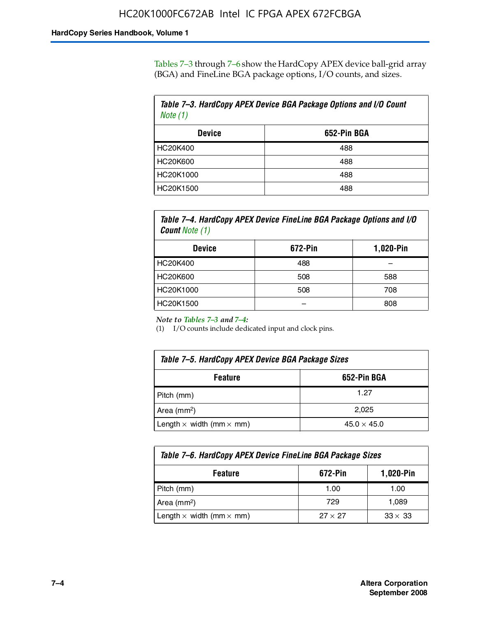Tables 7–3 through 7–6 show the HardCopy APEX device ball-grid array (BGA) and FineLine BGA package options, I/O counts, and sizes.

| Table 7–3. HardCopy APEX Device BGA Package Options and I/O Count<br>Note $(1)$ |             |  |
|---------------------------------------------------------------------------------|-------------|--|
| <b>Device</b>                                                                   | 652-Pin BGA |  |
| HC20K400                                                                        | 488         |  |
| HC20K600                                                                        | 488         |  |
| HC20K1000                                                                       | 488         |  |
| HC20K1500                                                                       | 488         |  |

*Table 7–4. HardCopy APEX Device FineLine BGA Package Options and I/O Count Note (1)*

| <b>Device</b>   | 672-Pin | 1,020-Pin |
|-----------------|---------|-----------|
| HC20K400        | 488     |           |
| <b>HC20K600</b> | 508     | 588       |
| HC20K1000       | 508     | 708       |
| HC20K1500       |         | 808       |

*Note to Tables 7–3 and 7–4:*

(1) I/O counts include dedicated input and clock pins.

| Table 7–5. HardCopy APEX Device BGA Package Sizes |                    |  |
|---------------------------------------------------|--------------------|--|
| 652-Pin BGA<br><b>Feature</b>                     |                    |  |
| Pitch (mm)                                        | 1.27               |  |
| Area (mm <sup>2</sup> )                           | 2.025              |  |
| Length $\times$ width (mm $\times$ mm)            | $45.0 \times 45.0$ |  |

| Table 7–6. HardCopy APEX Device FineLine BGA Package Sizes |                |                |  |
|------------------------------------------------------------|----------------|----------------|--|
| 672-Pin<br>1,020-Pin<br><b>Feature</b>                     |                |                |  |
| Pitch (mm)                                                 | 1.00           | 1.00           |  |
| Area ( $mm2$ )                                             | 729            | 1,089          |  |
| Length $\times$ width (mm $\times$ mm)                     | $27 \times 27$ | $33 \times 33$ |  |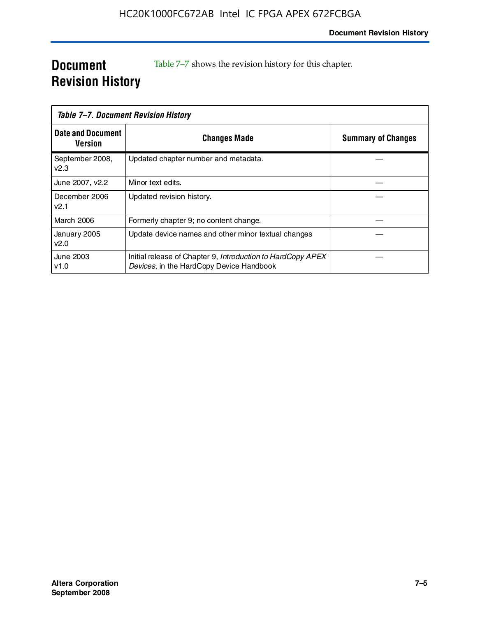### **Document Revision History**

Table 7–7 shows the revision history for this chapter.

| Table 7–7. Document Revision History |                                                                                                         |                           |
|--------------------------------------|---------------------------------------------------------------------------------------------------------|---------------------------|
| <b>Date and Document</b><br>Version  | <b>Changes Made</b>                                                                                     | <b>Summary of Changes</b> |
| September 2008,<br>V <sub>2.3</sub>  | Updated chapter number and metadata.                                                                    |                           |
| June 2007, v2.2                      | Minor text edits.                                                                                       |                           |
| December 2006<br>v2.1                | Updated revision history.                                                                               |                           |
| March 2006                           | Formerly chapter 9; no content change.                                                                  |                           |
| January 2005<br>v2.0                 | Update device names and other minor textual changes                                                     |                           |
| June 2003<br>v1.0                    | Initial release of Chapter 9, Introduction to HardCopy APEX<br>Devices, in the HardCopy Device Handbook |                           |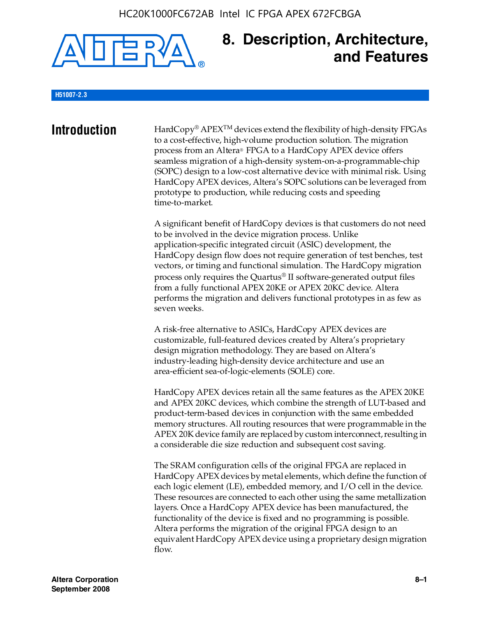

### **8. Description, Architecture, and Features**

#### **H51007-2.3**

**Introduction** HardCopy® APEX<sup>™</sup> devices extend the flexibility of high-density FPGAs to a cost-effective, high-volume production solution. The migration process from an Altera® FPGA to a HardCopy APEX device offers seamless migration of a high-density system-on-a-programmable-chip (SOPC) design to a low-cost alternative device with minimal risk. Using HardCopy APEX devices, Altera's SOPC solutions can be leveraged from prototype to production, while reducing costs and speeding time-to-market.

> A significant benefit of HardCopy devices is that customers do not need to be involved in the device migration process. Unlike application-specific integrated circuit (ASIC) development, the HardCopy design flow does not require generation of test benches, test vectors, or timing and functional simulation. The HardCopy migration process only requires the Quartus® II software-generated output files from a fully functional APEX 20KE or APEX 20KC device. Altera performs the migration and delivers functional prototypes in as few as seven weeks.

A risk-free alternative to ASICs, HardCopy APEX devices are customizable, full-featured devices created by Altera's proprietary design migration methodology. They are based on Altera's industry-leading high-density device architecture and use an area-efficient sea-of-logic-elements (SOLE) core.

HardCopy APEX devices retain all the same features as the APEX 20KE and APEX 20KC devices, which combine the strength of LUT-based and product-term-based devices in conjunction with the same embedded memory structures. All routing resources that were programmable in the APEX 20K device family are replaced by custom interconnect, resulting in a considerable die size reduction and subsequent cost saving.

The SRAM configuration cells of the original FPGA are replaced in HardCopy APEX devices by metal elements, which define the function of each logic element (LE), embedded memory, and I/O cell in the device. These resources are connected to each other using the same metallization layers. Once a HardCopy APEX device has been manufactured, the functionality of the device is fixed and no programming is possible. Altera performs the migration of the original FPGA design to an equivalent HardCopy APEX device using a proprietary design migration flow.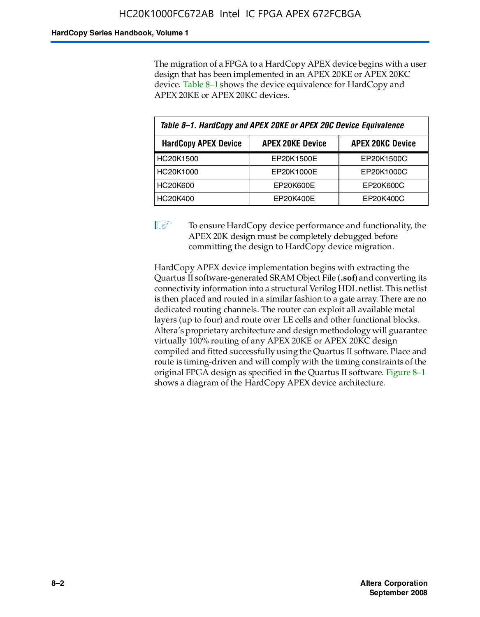The migration of a FPGA to a HardCopy APEX device begins with a user design that has been implemented in an APEX 20KE or APEX 20KC device. Table 8–1 shows the device equivalence for HardCopy and APEX 20KE or APEX 20KC devices.

| Table 8-1. HardCopy and APEX 20KE or APEX 20C Device Equivalence |                         |                         |  |
|------------------------------------------------------------------|-------------------------|-------------------------|--|
| <b>HardCopy APEX Device</b>                                      | <b>APEX 20KE Device</b> | <b>APEX 20KC Device</b> |  |
| HC20K1500                                                        | EP20K1500E              | EP20K1500C              |  |
| HC20K1000                                                        | EP20K1000E              | EP20K1000C              |  |
| <b>HC20K600</b>                                                  | EP20K600E               | EP20K600C               |  |
| HC20K400                                                         | EP20K400E               | EP20K400C               |  |

 $\mathbb{I}$  To ensure HardCopy device performance and functionality, the APEX 20K design must be completely debugged before committing the design to HardCopy device migration.

HardCopy APEX device implementation begins with extracting the Quartus II software-generated SRAM Object File (**.sof**) and converting its connectivity information into a structural Verilog HDL netlist. This netlist is then placed and routed in a similar fashion to a gate array. There are no dedicated routing channels. The router can exploit all available metal layers (up to four) and route over LE cells and other functional blocks. Altera's proprietary architecture and design methodology will guarantee virtually 100% routing of any APEX 20KE or APEX 20KC design compiled and fitted successfully using the Quartus II software. Place and route is timing-driven and will comply with the timing constraints of the original FPGA design as specified in the Quartus II software. Figure 8–1 shows a diagram of the HardCopy APEX device architecture.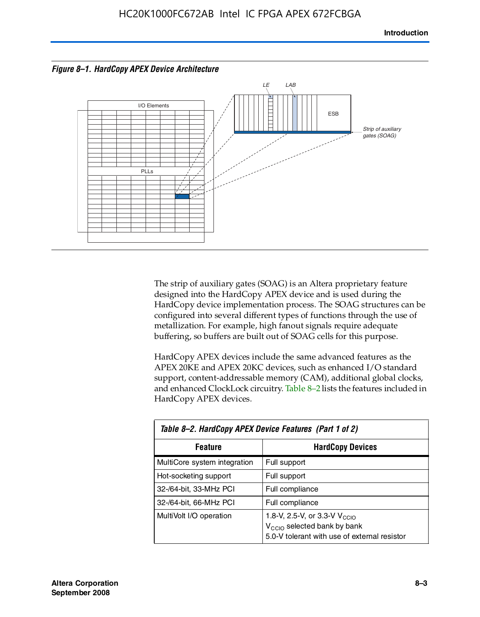



The strip of auxiliary gates (SOAG) is an Altera proprietary feature designed into the HardCopy APEX device and is used during the HardCopy device implementation process. The SOAG structures can be configured into several different types of functions through the use of metallization. For example, high fanout signals require adequate buffering, so buffers are built out of SOAG cells for this purpose.

HardCopy APEX devices include the same advanced features as the APEX 20KE and APEX 20KC devices, such as enhanced I/O standard support, content-addressable memory (CAM), additional global clocks, and enhanced ClockLock circuitry. Table 8–2 lists the features included in HardCopy APEX devices.

| Table 8–2. HardCopy APEX Device Features (Part 1 of 2) |                                                                                                                                     |  |  |
|--------------------------------------------------------|-------------------------------------------------------------------------------------------------------------------------------------|--|--|
| <b>Feature</b>                                         | <b>HardCopy Devices</b>                                                                                                             |  |  |
| MultiCore system integration                           | Full support                                                                                                                        |  |  |
| Hot-socketing support                                  | Full support                                                                                                                        |  |  |
| 32-/64-bit, 33-MHz PCI                                 | Full compliance                                                                                                                     |  |  |
| 32-/64-bit, 66-MHz PCI                                 | Full compliance                                                                                                                     |  |  |
| MultiVolt I/O operation                                | 1.8-V, 2.5-V, or 3.3-V V <sub>CCIO</sub><br>V <sub>CCIO</sub> selected bank by bank<br>5.0-V tolerant with use of external resistor |  |  |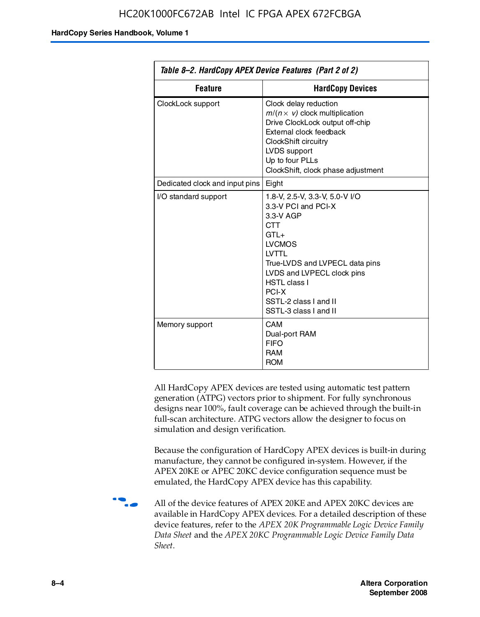| Table 8–2. HardCopy APEX Device Features (Part 2 of 2) |                                                                                                                                                                                                                                                                               |  |
|--------------------------------------------------------|-------------------------------------------------------------------------------------------------------------------------------------------------------------------------------------------------------------------------------------------------------------------------------|--|
| <b>Feature</b>                                         | <b>HardCopy Devices</b>                                                                                                                                                                                                                                                       |  |
| ClockLock support                                      | Clock delay reduction<br>$m/(n \times v)$ clock multiplication<br>Drive ClockLock output off-chip<br>External clock feedback<br>ClockShift circuitry<br>LVDS support<br>Up to four PLLs<br>ClockShift, clock phase adjustment                                                 |  |
| Dedicated clock and input pins                         | Eight                                                                                                                                                                                                                                                                         |  |
| I/O standard support                                   | 1.8-V, 2.5-V, 3.3-V, 5.0-V I/O<br>3.3-V PCI and PCI-X<br>3.3-V AGP<br><b>CTT</b><br>$GTL+$<br><b>LVCMOS</b><br><b>IVTTI</b><br>True-LVDS and LVPECL data pins<br>LVDS and LVPECL clock pins<br><b>HSTL class I</b><br>PCI-X<br>SSTL-2 class I and II<br>SSTL-3 class I and II |  |
| Memory support                                         | CAM<br>Dual-port RAM<br><b>FIFO</b><br><b>RAM</b><br><b>ROM</b>                                                                                                                                                                                                               |  |

All HardCopy APEX devices are tested using automatic test pattern generation (ATPG) vectors prior to shipment. For fully synchronous designs near 100%, fault coverage can be achieved through the built-in full-scan architecture. ATPG vectors allow the designer to focus on simulation and design verification.

Because the configuration of HardCopy APEX devices is built-in during manufacture, they cannot be configured in-system. However, if the APEX 20KE or APEC 20KC device configuration sequence must be emulated, the HardCopy APEX device has this capability.

**f all of the device features of APEX 20KE and APEX 20KC devices are** available in HardCopy APEX devices. For a detailed description of these device features, refer to the *APEX 20K Programmable Logic Device Family Data Sheet* and the *APEX 20KC Programmable Logic Device Family Data Sheet*.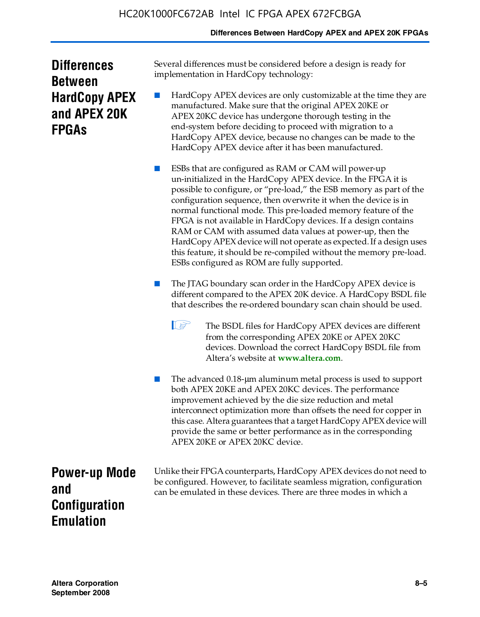#### **Differences Between HardCopy APEX and APEX 20K FPGAs**

| <b>Differences</b>   |  |  |
|----------------------|--|--|
| <b>Between</b>       |  |  |
| <b>HardCopy APEX</b> |  |  |
| and APEX 20K         |  |  |
| <b>FPGAs</b>         |  |  |

Several differences must be considered before a design is ready for implementation in HardCopy technology:

HardCopy APEX devices are only customizable at the time they are manufactured. Make sure that the original APEX 20KE or APEX 20KC device has undergone thorough testing in the end-system before deciding to proceed with migration to a HardCopy APEX device, because no changes can be made to the HardCopy APEX device after it has been manufactured.

ESBs that are configured as RAM or CAM will power-up un-initialized in the HardCopy APEX device. In the FPGA it is possible to configure, or "pre-load," the ESB memory as part of the configuration sequence, then overwrite it when the device is in normal functional mode. This pre-loaded memory feature of the FPGA is not available in HardCopy devices. If a design contains RAM or CAM with assumed data values at power-up, then the HardCopy APEX device will not operate as expected. If a design uses this feature, it should be re-compiled without the memory pre-load. ESBs configured as ROM are fully supported.

- The JTAG boundary scan order in the HardCopy APEX device is different compared to the APEX 20K device. A HardCopy BSDL file that describes the re-ordered boundary scan chain should be used.
	- **1 The BSDL files for HardCopy APEX devices are different** from the corresponding APEX 20KE or APEX 20KC devices. Download the correct HardCopy BSDL file from Altera's website at **[www.altera.com](http://www.altera.com)**.

The advanced 0.18-μm aluminum metal process is used to support both APEX 20KE and APEX 20KC devices. The performance improvement achieved by the die size reduction and metal interconnect optimization more than offsets the need for copper in this case. Altera guarantees that a target HardCopy APEX device will provide the same or better performance as in the corresponding APEX 20KE or APEX 20KC device.

**Power-up Mode and Configuration Emulation**

Unlike their FPGA counterparts, HardCopy APEX devices do not need to be configured. However, to facilitate seamless migration, configuration can be emulated in these devices. There are three modes in which a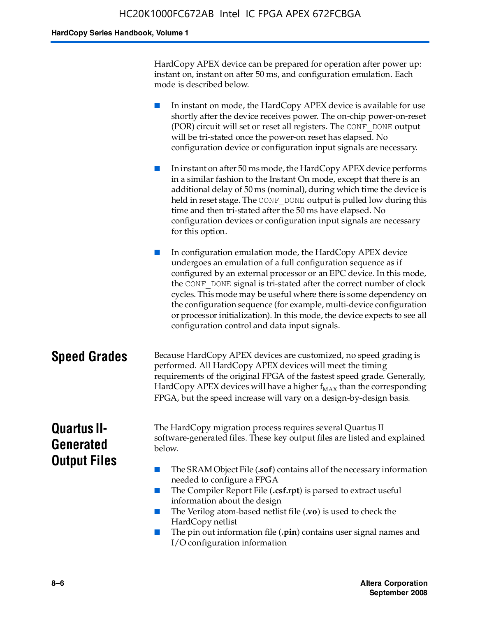HardCopy APEX device can be prepared for operation after power up: instant on, instant on after 50 ms, and configuration emulation. Each mode is described below.

■ In instant on mode, the HardCopy APEX device is available for use shortly after the device receives power. The on-chip power-on-reset (POR) circuit will set or reset all registers. The CONF\_DONE output will be tri-stated once the power-on reset has elapsed. No configuration device or configuration input signals are necessary.

■ In instant on after 50 ms mode, the HardCopy APEX device performs in a similar fashion to the Instant On mode, except that there is an additional delay of 50 ms (nominal), during which time the device is held in reset stage. The CONF DONE output is pulled low during this time and then tri-stated after the 50 ms have elapsed. No configuration devices or configuration input signals are necessary for this option.

In configuration emulation mode, the HardCopy APEX device undergoes an emulation of a full configuration sequence as if configured by an external processor or an EPC device. In this mode, the CONF\_DONE signal is tri-stated after the correct number of clock cycles. This mode may be useful where there is some dependency on the configuration sequence (for example, multi-device configuration or processor initialization). In this mode, the device expects to see all configuration control and data input signals.

#### **Speed Grades** Because HardCopy APEX devices are customized, no speed grading is performed. All HardCopy APEX devices will meet the timing requirements of the original FPGA of the fastest speed grade. Generally, HardCopy APEX devices will have a higher  $f_{MAX}$  than the corresponding FPGA, but the speed increase will vary on a design-by-design basis.

### **Quartus II-Generated Output Files**

The HardCopy migration process requires several Quartus II software-generated files. These key output files are listed and explained below.

- The SRAM Object File (**.sof**) contains all of the necessary information needed to configure a FPGA
- The Compiler Report File (.csf.rpt) is parsed to extract useful information about the design
- The Verilog atom-based netlist file (**.vo**) is used to check the HardCopy netlist
- The pin out information file (**.pin**) contains user signal names and I/O configuration information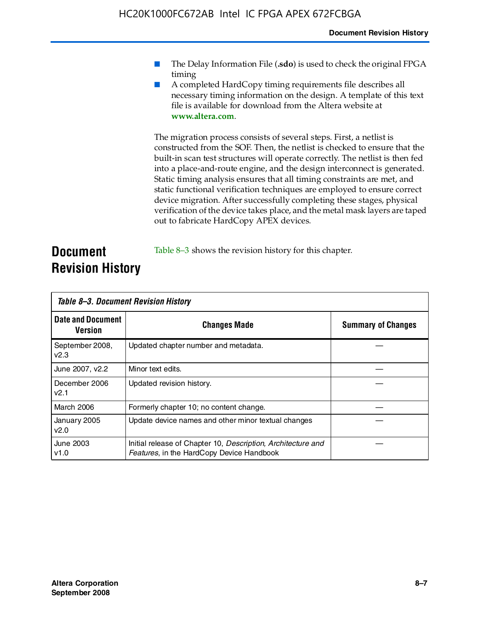- The Delay Information File (.sdo) is used to check the original FPGA timing
- A completed HardCopy timing requirements file describes all necessary timing information on the design. A template of this text file is available for download from the Altera website at **www.altera.com**.

The migration process consists of several steps. First, a netlist is constructed from the SOF. Then, the netlist is checked to ensure that the built-in scan test structures will operate correctly. The netlist is then fed into a place-and-route engine, and the design interconnect is generated. Static timing analysis ensures that all timing constraints are met, and static functional verification techniques are employed to ensure correct device migration. After successfully completing these stages, physical verification of the device takes place, and the metal mask layers are taped out to fabricate HardCopy APEX devices.

#### **Document Revision History** Table 8–3 shows the revision history for this chapter.

| Table 8–3. Document Revision History |                                                                                                           |                           |  |  |
|--------------------------------------|-----------------------------------------------------------------------------------------------------------|---------------------------|--|--|
| <b>Date and Document</b><br>Version  | <b>Changes Made</b>                                                                                       | <b>Summary of Changes</b> |  |  |
| September 2008,<br>v2.3              | Updated chapter number and metadata.                                                                      |                           |  |  |
| June 2007, v2.2                      | Minor text edits.                                                                                         |                           |  |  |
| December 2006<br>v2.1                | Updated revision history.                                                                                 |                           |  |  |
| March 2006                           | Formerly chapter 10; no content change.                                                                   |                           |  |  |
| January 2005<br>v2.0                 | Update device names and other minor textual changes                                                       |                           |  |  |
| June 2003<br>v1.0                    | Initial release of Chapter 10, Description, Architecture and<br>Features, in the HardCopy Device Handbook |                           |  |  |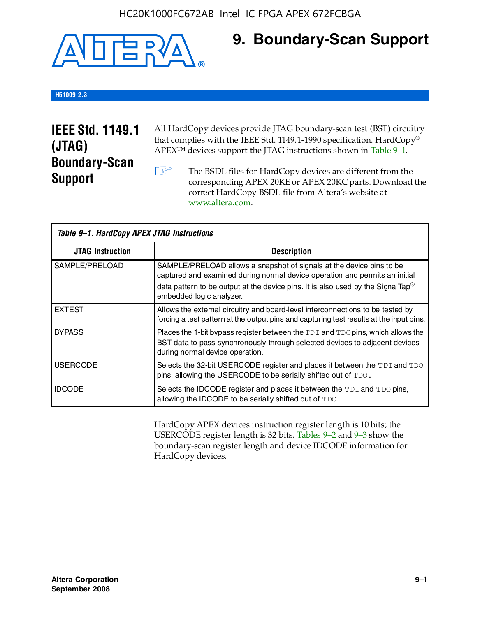

### **9. Boundary-Scan Support**

#### **H51009-2.3**

### **IEEE Std. 1149.1 (JTAG) Boundary-Scan Support**

All HardCopy devices provide JTAG boundary-scan test (BST) circuitry that complies with the IEEE Std. 1149.1-1990 specification. HardCopy® APEX™ devices support the JTAG instructions shown in Table 9–1.

**1 The BSDL files for HardCopy devices are different from the** corresponding APEX 20KE or APEX 20KC parts. Download the [correct HardCopy BSDL file from Altera's website at](http://www.altera.com)  www.altera.com.

| Table 9-1. HardCopy APEX JTAG Instructions |                                                                                                                                                                                                                                                                                |  |  |  |
|--------------------------------------------|--------------------------------------------------------------------------------------------------------------------------------------------------------------------------------------------------------------------------------------------------------------------------------|--|--|--|
| <b>JTAG Instruction</b>                    | <b>Description</b>                                                                                                                                                                                                                                                             |  |  |  |
| SAMPLE/PRELOAD                             | SAMPLE/PRELOAD allows a snapshot of signals at the device pins to be<br>captured and examined during normal device operation and permits an initial<br>data pattern to be output at the device pins. It is also used by the SignalTap <sup>®</sup><br>embedded logic analyzer. |  |  |  |
| <b>EXTEST</b>                              | Allows the external circuitry and board-level interconnections to be tested by<br>forcing a test pattern at the output pins and capturing test results at the input pins.                                                                                                      |  |  |  |
| <b>BYPASS</b>                              | Places the 1-bit bypass register between the TDI and TDO pins, which allows the<br>BST data to pass synchronously through selected devices to adjacent devices<br>during normal device operation.                                                                              |  |  |  |
| <b>USERCODE</b>                            | Selects the 32-bit USERCODE register and places it between the TDI and TDO<br>pins, allowing the USERCODE to be serially shifted out of TDO.                                                                                                                                   |  |  |  |
| <b>IDCODE</b>                              | Selects the IDCODE register and places it between the TDI and TDO pins,<br>allowing the IDCODE to be serially shifted out of TDO.                                                                                                                                              |  |  |  |

HardCopy APEX devices instruction register length is 10 bits; the USERCODE register length is 32 bits. Tables 9–2 and 9–3 show the boundary-scan register length and device IDCODE information for HardCopy devices.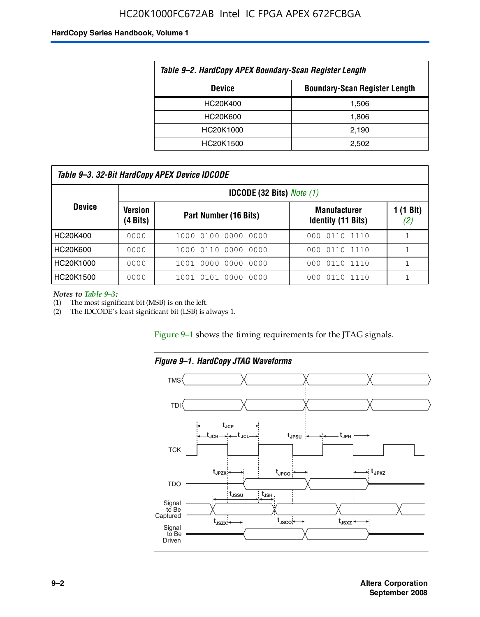#### HC20K1000FC672AB Intel IC FPGA APEX 672FCBGA

#### **HardCopy Series Handbook, Volume 1**

| Table 9-2. HardCopy APEX Boundary-Scan Register Length |       |  |  |  |
|--------------------------------------------------------|-------|--|--|--|
| <b>Boundary-Scan Register Length</b><br><b>Device</b>  |       |  |  |  |
| HC20K400                                               | 1,506 |  |  |  |
| HC20K600                                               | 1,806 |  |  |  |
| HC20K1000                                              | 2,190 |  |  |  |
| HC20K1500                                              | 2.502 |  |  |  |

| Table 9–3. 32-Bit HardCopy APEX Device IDCODE |                     |                          |                                                  |                  |  |
|-----------------------------------------------|---------------------|--------------------------|--------------------------------------------------|------------------|--|
| <b>IDCODE (32 Bits)</b> Note $(1)$            |                     |                          |                                                  |                  |  |
| <b>Device</b>                                 | Version<br>(4 Bits) | Part Number (16 Bits)    | <b>Manufacturer</b><br><b>Identity (11 Bits)</b> | 1 (1 Bit)<br>(2) |  |
| HC20K400                                      | 0000                | 1000 0100 0000 0000      | 000 0110 1110                                    |                  |  |
| HC20K600                                      | 0000                | 1000 0110 0000 0000      | 000 0110 1110                                    |                  |  |
| HC20K1000                                     | 0000                | 1001 0000 0000 0000      | 000 0110 1110                                    |                  |  |
| HC20K1500                                     | 0000                | 1001 0101 0000<br>- 0000 | 011<br>101110<br>000.                            |                  |  |

*Notes to Table 9–3:*

(1) The most significant bit (MSB) is on the left.

(2) The IDCODE's least significant bit (LSB) is always 1.

Figure 9–1 shows the timing requirements for the JTAG signals.



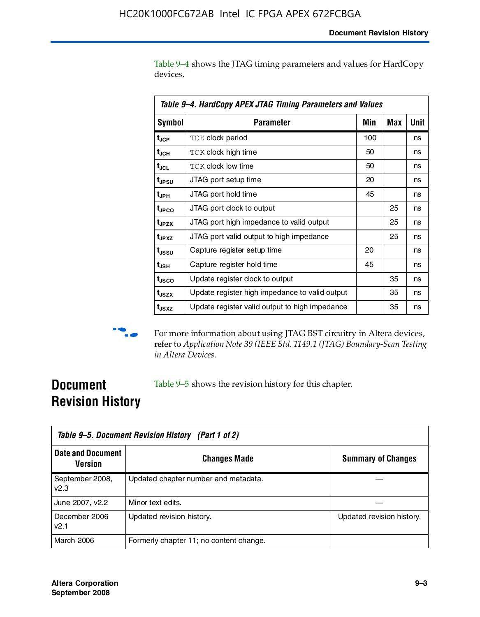Table 9–4 shows the JTAG timing parameters and values for HardCopy devices.

| Table 9–4. HardCopy APEX JTAG Timing Parameters and Values |                                                |     |     |      |  |
|------------------------------------------------------------|------------------------------------------------|-----|-----|------|--|
| <b>Symbol</b>                                              | Parameter                                      | Min | Max | Unit |  |
| t <sub>JCP</sub>                                           | <b>TCK clock period</b>                        | 100 |     | ns   |  |
| t <sub>JCH</sub>                                           | TCK clock high time                            | 50  |     | ns   |  |
| t <sub>JCL</sub>                                           | <b>TCK clock low time</b>                      | 50  |     | ns   |  |
| t <sub>JPSU</sub>                                          | JTAG port setup time                           | 20  |     | ns   |  |
| t <sub>JPH</sub>                                           | JTAG port hold time                            | 45  |     | ns   |  |
| t <sub>JPCO</sub>                                          | JTAG port clock to output                      |     | 25  | ns   |  |
| t <sub>JPZX</sub>                                          | JTAG port high impedance to valid output       |     | 25  | ns   |  |
| t <sub>JPXZ</sub>                                          | JTAG port valid output to high impedance       |     | 25  | ns   |  |
| t <sub>ussu</sub>                                          | Capture register setup time                    | 20  |     | ns   |  |
| t <sub>JSH</sub>                                           | Capture register hold time                     | 45  |     | ns   |  |
| t <sub>JSCO</sub>                                          | Update register clock to output                |     | 35  | ns   |  |
| t <sub>JSZX</sub>                                          | Update register high impedance to valid output |     | 35  | ns   |  |
| t <sub>JSXZ</sub>                                          | Update register valid output to high impedance |     | 35  | ns   |  |



**f** For more information about using JTAG BST circuitry in Altera devices, refer to *Application Note 39 (IEEE Std. 1149.1 (JTAG) Boundary-Scan Testing in Altera Devices*.

### **Document Revision History**

Table 9–5 shows the revision history for this chapter.

|                                     | Table 9–5. Document Revision History (Part 1 of 2) |                           |  |  |
|-------------------------------------|----------------------------------------------------|---------------------------|--|--|
| <b>Date and Document</b><br>Version | <b>Changes Made</b>                                | <b>Summary of Changes</b> |  |  |
| September 2008,<br>v2.3             | Updated chapter number and metadata.               |                           |  |  |
| June 2007, v2.2                     | Minor text edits.                                  |                           |  |  |
| December 2006<br>v2.1               | Updated revision history.                          | Updated revision history. |  |  |
| <b>March 2006</b>                   | Formerly chapter 11; no content change.            |                           |  |  |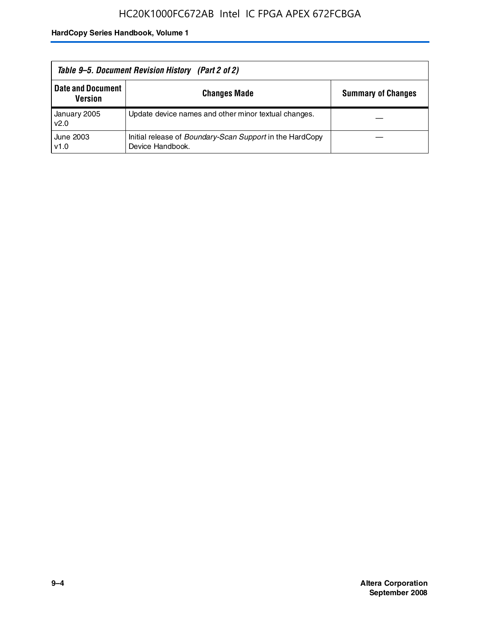| Table 9–5. Document Revision History (Part 2 of 2) |                                                                                     |                           |  |  |
|----------------------------------------------------|-------------------------------------------------------------------------------------|---------------------------|--|--|
| <b>Date and Document</b><br>Version                | <b>Changes Made</b>                                                                 | <b>Summary of Changes</b> |  |  |
| January 2005<br>v2.0                               | Update device names and other minor textual changes.                                |                           |  |  |
| June 2003<br>v1.0                                  | Initial release of <i>Boundary-Scan Support</i> in the HardCopy<br>Device Handbook. |                           |  |  |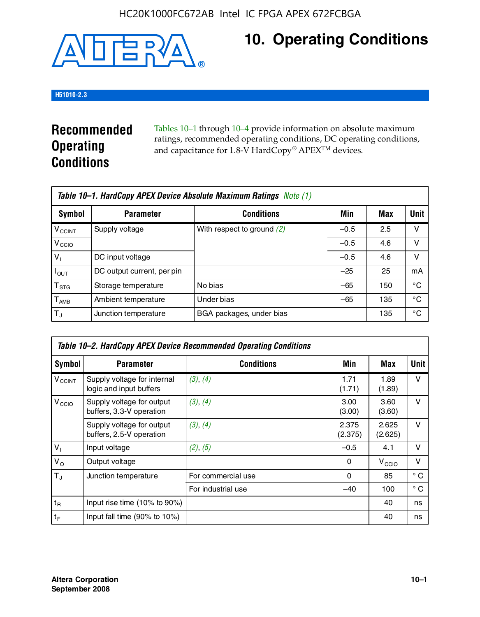

## **10. Operating Conditions**

#### **H51010-2.3**

### **Recommended Operating Conditions**

Tables 10–1 through 10–4 provide information on absolute maximum ratings, recommended operating conditions, DC operating conditions, and capacitance for 1.8-V HardCopy® APEX<sup>TM</sup> devices.

| Table 10–1. HardCopy APEX Device Absolute Maximum Ratings Note (1) |                            |                              |        |     |             |
|--------------------------------------------------------------------|----------------------------|------------------------------|--------|-----|-------------|
| Symbol                                                             | <b>Parameter</b>           | <b>Conditions</b>            | Min    | Max | <b>Unit</b> |
| <b>V<sub>CCINT</sub></b>                                           | Supply voltage             | With respect to ground $(2)$ | $-0.5$ | 2.5 | v           |
| V <sub>CCIO</sub>                                                  |                            |                              | $-0.5$ | 4.6 | ν           |
| $V_1$                                                              | DC input voltage           |                              | $-0.5$ | 4.6 | v           |
| $I_{OUT}$                                                          | DC output current, per pin |                              | $-25$  | 25  | mA          |
| $\mathsf{T}_{\text{STG}}$                                          | Storage temperature        | No bias                      | $-65$  | 150 | °€          |
| $T_{\sf AMB}$                                                      | Ambient temperature        | Under bias                   | $-65$  | 135 | °C          |
| $T_{\rm J}$                                                        | Junction temperature       | BGA packages, under bias     |        | 135 | °C          |

|                          | Table 10–2. HardCopy APEX Device Recommended Operating Conditions |                    |                  |                   |              |  |  |
|--------------------------|-------------------------------------------------------------------|--------------------|------------------|-------------------|--------------|--|--|
| Symbol                   | <b>Parameter</b>                                                  | <b>Conditions</b>  | Min              | Max               | <b>Unit</b>  |  |  |
| <b>V<sub>CCINT</sub></b> | Supply voltage for internal<br>logic and input buffers            | (3), (4)           | 1.71<br>(1.71)   | 1.89<br>(1.89)    | $\vee$       |  |  |
| V <sub>CCIO</sub>        | Supply voltage for output<br>buffers, 3.3-V operation             | (3), (4)           | 3.00<br>(3.00)   | 3.60<br>(3.60)    | $\vee$       |  |  |
|                          | Supply voltage for output<br>buffers, 2.5-V operation             | (3), (4)           | 2.375<br>(2.375) | 2.625<br>(2.625)  | $\vee$       |  |  |
| $V_1$                    | Input voltage                                                     | (2), (5)           | $-0.5$           | 4.1               | v            |  |  |
| $V_{\rm O}$              | Output voltage                                                    |                    | 0                | V <sub>CCIO</sub> | $\vee$       |  |  |
| $T_{\rm J}$              | Junction temperature                                              | For commercial use | 0                | 85                | $^{\circ}$ C |  |  |
|                          |                                                                   | For industrial use | $-40$            | 100               | $^{\circ}$ C |  |  |
| $t_{R}$                  | Input rise time (10% to 90%)                                      |                    |                  | 40                | ns           |  |  |
| $t_F$                    | Input fall time $(90\% \text{ to } 10\%)$                         |                    |                  | 40                | ns           |  |  |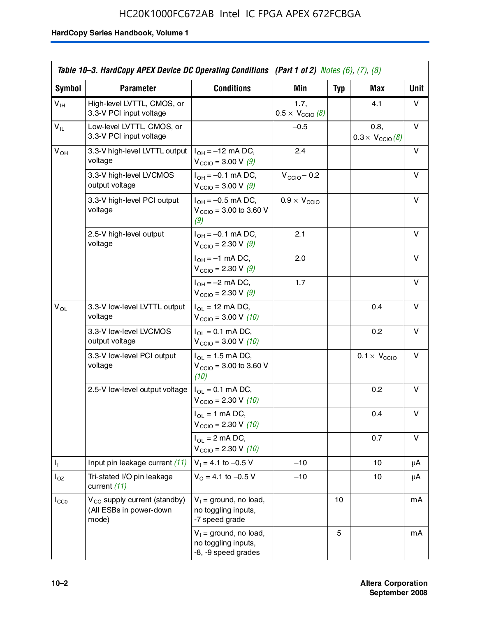|                            | Table 10–3. HardCopy APEX Device DC Operating Conditions (Part 1 of 2) Notes $(6)$ , $(7)$ , $(8)$ |                                                                        |                                          |            |                                         |             |
|----------------------------|----------------------------------------------------------------------------------------------------|------------------------------------------------------------------------|------------------------------------------|------------|-----------------------------------------|-------------|
| Symbol                     | <b>Parameter</b>                                                                                   | <b>Conditions</b>                                                      | <b>Min</b>                               | <b>Typ</b> | Max                                     | <b>Unit</b> |
| $V_{\text{IH}}$            | High-level LVTTL, CMOS, or<br>3.3-V PCI input voltage                                              |                                                                        | 1.7,<br>$0.5 \times V_{\text{CCIO}}$ (8) |            | 4.1                                     | v           |
| $\mathsf{V}_{\mathsf{IL}}$ | Low-level LVTTL, CMOS, or<br>3.3-V PCI input voltage                                               |                                                                        | $-0.5$                                   |            | 0.8,<br>$0.3 \times V_{\text{CCIO}}(8)$ | v           |
| $V_{OH}$                   | 3.3-V high-level LVTTL output<br>voltage                                                           | $I_{OH} = -12$ mA DC,<br>$V_{\text{CCIO}} = 3.00 \text{ V} (9)$        | 2.4                                      |            |                                         | v           |
|                            | 3.3-V high-level LVCMOS<br>output voltage                                                          | $I_{OH} = -0.1$ mA DC,<br>$V_{\text{CCIO}} = 3.00 \text{ V} (9)$       | $V_{\text{CCIO}} - 0.2$                  |            |                                         | v           |
|                            | 3.3-V high-level PCI output<br>voltage                                                             | $I_{OH} = -0.5$ mA DC,<br>$V_{\text{CCIO}} = 3.00$ to 3.60 V<br>(9)    | $0.9 \times V_{\text{CCIO}}$             |            |                                         | v           |
|                            | 2.5-V high-level output<br>voltage                                                                 | $I_{OH} = -0.1$ mA DC,<br>$V_{\text{CCIO}} = 2.30 \text{ V} (9)$       | 2.1                                      |            |                                         | v           |
|                            |                                                                                                    | $I_{OH} = -1$ mA DC,<br>$V_{\text{CCIO}} = 2.30 \text{ V} (9)$         | 2.0                                      |            |                                         | v           |
|                            |                                                                                                    | $I_{OH} = -2$ mA DC,<br>$V_{\text{CCIO}} = 2.30 \text{ V} (9)$         | 1.7                                      |            |                                         | v           |
| $\mathsf{V}_{\mathsf{OL}}$ | 3.3-V low-level LVTTL output<br>voltage                                                            | $I_{OL}$ = 12 mA DC,<br>$V_{\text{CCIO}} = 3.00 \text{ V} (10)$        |                                          |            | 0.4                                     | v           |
|                            | 3.3-V low-level LVCMOS<br>output voltage                                                           | $I_{OL} = 0.1$ mA DC,<br>$V_{\text{CCIO}} = 3.00 V (10)$               |                                          |            | 0.2                                     | v           |
|                            | 3.3-V low-level PCI output<br>voltage                                                              | $I_{OL}$ = 1.5 mA DC,<br>$V_{\text{CCIO}} = 3.00$ to 3.60 V<br>(10)    |                                          |            | $0.1 \times V_{\text{CCIO}}$            | v           |
|                            | 2.5-V low-level output voltage                                                                     | $I_{OL} = 0.1$ mA DC,<br>$V_{\text{CCIO}} = 2.30 \text{ V} (10)$       |                                          |            | 0.2                                     | v           |
|                            |                                                                                                    | $I_{OL}$ = 1 mA DC,<br>$V_{\text{CCIO}} = 2.30 V (10)$                 |                                          |            | 0.4                                     | v           |
|                            |                                                                                                    | $I_{OL}$ = 2 mA DC,<br>$V_{\text{CCIO}} = 2.30 \text{ V} (10)$         |                                          |            | 0.7                                     | v           |
| Τ,                         | Input pin leakage current (11)                                                                     | $V_1 = 4.1$ to $-0.5$ V                                                | $-10$                                    |            | 10                                      | μA          |
| $I_{OZ}$                   | Tri-stated I/O pin leakage<br>current (11)                                                         | $V_0 = 4.1$ to -0.5 V                                                  | $-10$                                    |            | 10                                      | μA          |
| $I_{CC0}$                  | $V_{\text{CC}}$ supply current (standby)<br>(All ESBs in power-down<br>mode)                       | $V_1$ = ground, no load,<br>no toggling inputs,<br>-7 speed grade      |                                          | 10         |                                         | mA          |
|                            |                                                                                                    | $V_1$ = ground, no load,<br>no toggling inputs,<br>-8, -9 speed grades |                                          | 5          |                                         | mA          |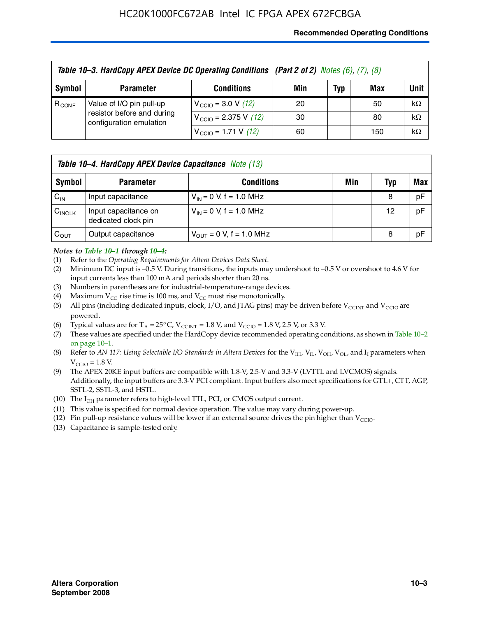#### **Recommended Operating Conditions**

|            | Table 10-3. HardCopy APEX Device DC Operating Conditions (Part 2 of 2) Notes (6), (7), (8) |                                          |     |     |     |           |  |  |
|------------|--------------------------------------------------------------------------------------------|------------------------------------------|-----|-----|-----|-----------|--|--|
| Symbol     | <b>Parameter</b>                                                                           | <b>Conditions</b>                        | Min | Typ | Max | Unit      |  |  |
| $R_{CONF}$ | Value of I/O pin pull-up                                                                   | $V_{\text{CCIO}} = 3.0 V (12)$           | 20  |     | 50  | $k\Omega$ |  |  |
|            | resistor before and during<br>configuration emulation                                      | $V_{\text{CCIO}} = 2.375 \text{ V}$ (12) | 30  |     | 80  | $k\Omega$ |  |  |
|            |                                                                                            | $V_{\text{CCIO}} = 1.71 \text{ V}$ (12)  | 60  |     | 150 | $k\Omega$ |  |  |

|                    | <b>Table 10–4. HardCopy APEX Device Capacitance</b> Note (13) |                              |     |     |     |  |
|--------------------|---------------------------------------------------------------|------------------------------|-----|-----|-----|--|
| Symbol             | <b>Parameter</b>                                              | <b>Conditions</b>            | Min | Typ | Max |  |
| $C_{\text{IN}}$    | Input capacitance                                             | $V_{IN} = 0$ V, f = 1.0 MHz  |     | 8   | pF  |  |
| $C_{\text{INCLK}}$ | Input capacitance on<br>dedicated clock pin                   | $V_{IN} = 0$ V, f = 1.0 MHz  |     | 12  | pF  |  |
| $C_{\text{OUT}}$   | Output capacitance                                            | $V_{OUT} = 0$ V, f = 1.0 MHz |     | 8   | pF  |  |

#### *Notes to Table 10–1 through 10–4:*

- (1) Refer to the *Operating Requirements for Altera Devices Data Sheet*.
- (2) Minimum DC input is –0.5 V. During transitions, the inputs may undershoot to –0.5 V or overshoot to 4.6 V for input currents less than 100 mA and periods shorter than 20 ns.
- (3) Numbers in parentheses are for industrial-temperature-range devices.
- (4) Maximum  $V_{CC}$  rise time is 100 ms, and  $V_{CC}$  must rise monotonically.
- (5) All pins (including dedicated inputs, clock, I/O, and JTAG pins) may be driven before  $V_{\text{CCINT}}$  and  $V_{\text{CCIO}}$  are powered.
- (6) Typical values are for  $T_A = 25^{\circ}$  C,  $V_{CCTNT} = 1.8$  V, and  $V_{CCTO} = 1.8$  V, 2.5 V, or 3.3 V.
- (7) These values are specified under the HardCopy device recommended operating conditions, as shown in Table 10–2 on page 10–1.
- (8) Refer to *AN 117: Using Selectable I/O Standards in Altera Devices* for the V<sub>IH</sub>, V<sub>IL</sub>, V<sub>OH</sub>, V<sub>OL</sub>, and I<sub>I</sub> parameters when  $V_{\text{CCIO}} = 1.8 \text{ V}$ .
- (9) The APEX 20KE input buffers are compatible with 1.8-V, 2.5-V and 3.3-V (LVTTL and LVCMOS) signals. Additionally, the input buffers are 3.3-V PCI compliant. Input buffers also meet specifications for GTL+, CTT, AGP, SSTL-2, SSTL-3, and HSTL.
- (10) The  $I_{OH}$  parameter refers to high-level TTL, PCI, or CMOS output current.
- (11) This value is specified for normal device operation. The value may vary during power-up.
- (12) Pin pull-up resistance values will be lower if an external source drives the pin higher than  $V_{CCIO}$ .
- (13) Capacitance is sample-tested only.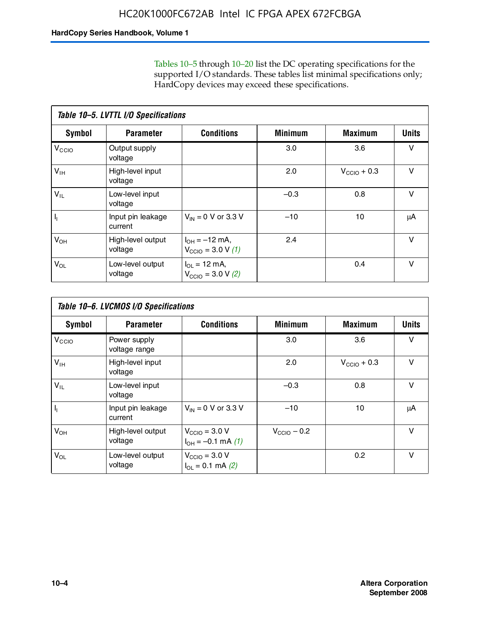Tables 10–5 through 10–20 list the DC operating specifications for the supported I/O standards. These tables list minimal specifications only; HardCopy devices may exceed these specifications.

|                           | Table 10-5. LVTTL I/O Specifications |                                                                 |                |                         |              |  |  |  |  |
|---------------------------|--------------------------------------|-----------------------------------------------------------------|----------------|-------------------------|--------------|--|--|--|--|
| Symbol                    | <b>Parameter</b>                     | <b>Conditions</b>                                               | <b>Minimum</b> | <b>Maximum</b>          | <b>Units</b> |  |  |  |  |
| $V_{\text{CCIO}}$         | Output supply<br>voltage             |                                                                 | 3.0            | 3.6                     | $\vee$       |  |  |  |  |
| $V_{\text{IH}}$           | High-level input<br>voltage          |                                                                 | 2.0            | $V_{\text{CCIO}} + 0.3$ | $\vee$       |  |  |  |  |
| $V_{IL}$                  | Low-level input<br>voltage           |                                                                 | $-0.3$         | 0.8                     | v            |  |  |  |  |
| $\mathsf{I}_{\mathsf{I}}$ | Input pin leakage<br>current         | $V_{IN} = 0$ V or 3.3 V                                         | $-10$          | 10                      | μA           |  |  |  |  |
| $V_{OH}$                  | High-level output<br>voltage         | $I_{OH} = -12$ mA,<br>$V_{\text{CCIO}} = 3.0 V(1)$              | 2.4            |                         | v            |  |  |  |  |
| $V_{OL}$                  | Low-level output<br>voltage          | $I_{\Omega I} = 12 \text{ mA}$<br>$V_{\text{CCIO}} = 3.0 V (2)$ |                | 0.4                     | $\vee$       |  |  |  |  |

|                   | Table 10-6. LVCMOS I/O Specifications |                                                           |                         |                         |              |  |  |  |  |
|-------------------|---------------------------------------|-----------------------------------------------------------|-------------------------|-------------------------|--------------|--|--|--|--|
| <b>Symbol</b>     | <b>Parameter</b>                      | <b>Conditions</b>                                         | <b>Minimum</b>          | <b>Maximum</b>          | <b>Units</b> |  |  |  |  |
| V <sub>CCIO</sub> | Power supply<br>voltage range         |                                                           | 3.0                     | 3.6                     | v            |  |  |  |  |
| $V_{\text{IH}}$   | High-level input<br>voltage           |                                                           | 2.0                     | $V_{\text{CCIO}} + 0.3$ | $\vee$       |  |  |  |  |
| $V_{IL}$          | Low-level input<br>voltage            |                                                           | $-0.3$                  | 0.8                     | $\vee$       |  |  |  |  |
| H,                | Input pin leakage<br>current          | $V_{IN} = 0$ V or 3.3 V                                   | $-10$                   | 10                      | μA           |  |  |  |  |
| $V_{OH}$          | High-level output<br>voltage          | $V_{\text{CCIO}} = 3.0 V$<br>$I_{OH} = -0.1$ mA $(1)$     | $V_{\text{CCIO}} - 0.2$ |                         | $\vee$       |  |  |  |  |
| $V_{OL}$          | Low-level output<br>voltage           | $V_{\text{CCIO}} = 3.0 V$<br>$I_{\text{OL}} = 0.1$ mA (2) |                         | 0.2                     | $\vee$       |  |  |  |  |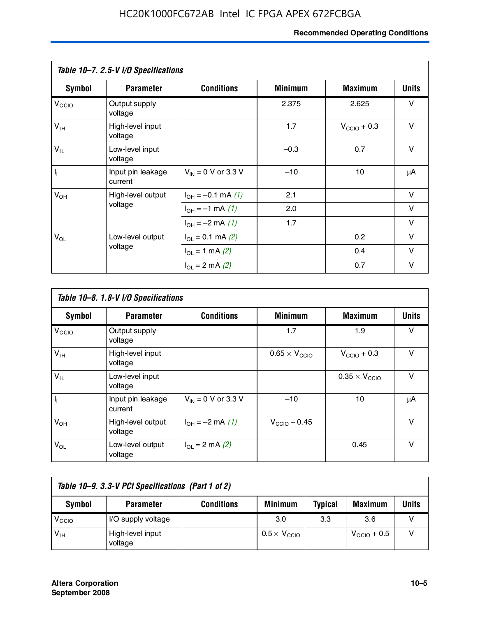#### **Recommended Operating Conditions**

|                   | Table 10-7. 2.5-V I/O Specifications |                           |                |                         |              |
|-------------------|--------------------------------------|---------------------------|----------------|-------------------------|--------------|
| <b>Symbol</b>     | <b>Parameter</b>                     | <b>Conditions</b>         | <b>Minimum</b> | <b>Maximum</b>          | <b>Units</b> |
| V <sub>CCIO</sub> | Output supply<br>voltage             |                           | 2.375          | 2.625                   | v            |
| $V_{\text{IH}}$   | High-level input<br>voltage          |                           | 1.7            | $V_{\text{CCIO}} + 0.3$ | $\vee$       |
| $V_{IL}$          | Low-level input<br>voltage           |                           | $-0.3$         | 0.7                     | $\vee$       |
| $\mathbf{l}_1$    | Input pin leakage<br>current         | $V_{IN} = 0$ V or 3.3 V   | $-10$          | 10                      | μA           |
| $V_{OH}$          | High-level output                    | $I_{OH} = -0.1$ mA $(1)$  | 2.1            |                         | $\vee$       |
|                   | voltage                              | $I_{OH} = -1$ mA (1)      | 2.0            |                         | V            |
|                   |                                      | $I_{OH} = -2$ mA (1)      | 1.7            |                         | v            |
| $V_{OL}$          | Low-level output                     | $I_{\Omega}$ = 0.1 mA (2) |                | 0.2                     | v            |
|                   | voltage                              | $I_{OL} = 1$ mA (2)       |                | 0.4                     | $\vee$       |
|                   |                                      | $I_{OL} = 2$ mA (2)       |                | 0.7                     | v            |

|                   | Table 10-8. 1.8-V I/O Specifications |                         |                               |                               |              |  |  |  |  |
|-------------------|--------------------------------------|-------------------------|-------------------------------|-------------------------------|--------------|--|--|--|--|
| Symbol            | <b>Parameter</b>                     | <b>Conditions</b>       | <b>Minimum</b>                | <b>Maximum</b>                | <b>Units</b> |  |  |  |  |
| $V_{\text{CCIO}}$ | Output supply<br>voltage             |                         | 1.7                           | 1.9                           | $\vee$       |  |  |  |  |
| $V_{\text{IH}}$   | High-level input<br>voltage          |                         | $0.65 \times V_{\text{CCIO}}$ | $V_{\text{CCIO}} + 0.3$       | v            |  |  |  |  |
| $V_{IL}$          | Low-level input<br>voltage           |                         |                               | $0.35 \times V_{\text{CCIO}}$ | $\vee$       |  |  |  |  |
| $\mathbf{l}_{1}$  | Input pin leakage<br>current         | $V_{IN} = 0$ V or 3.3 V | $-10$                         | 10                            | μA           |  |  |  |  |
| $V_{OH}$          | High-level output<br>voltage         | $I_{OH} = -2$ mA (1)    | $V_{\text{CCIO}} - 0.45$      |                               | v            |  |  |  |  |
| $V_{OL}$          | Low-level output<br>voltage          | $I_{\Omega}$ = 2 mA (2) |                               | 0.45                          | $\vee$       |  |  |  |  |

| Table 10-9. 3.3-V PCI Specifications (Part 1 of 2) |                             |                   |                              |                |                         |       |  |
|----------------------------------------------------|-----------------------------|-------------------|------------------------------|----------------|-------------------------|-------|--|
| Symbol                                             | <b>Parameter</b>            | <b>Conditions</b> | <b>Minimum</b>               | <b>Typical</b> | <b>Maximum</b>          | Units |  |
| V <sub>CIO</sub>                                   | I/O supply voltage          |                   | 3.0                          | 3.3            | 3.6                     |       |  |
| $V_{\text{IH}}$                                    | High-level input<br>voltage |                   | $0.5 \times V_{\text{CCIO}}$ |                | $V_{\text{CCIO}} + 0.5$ |       |  |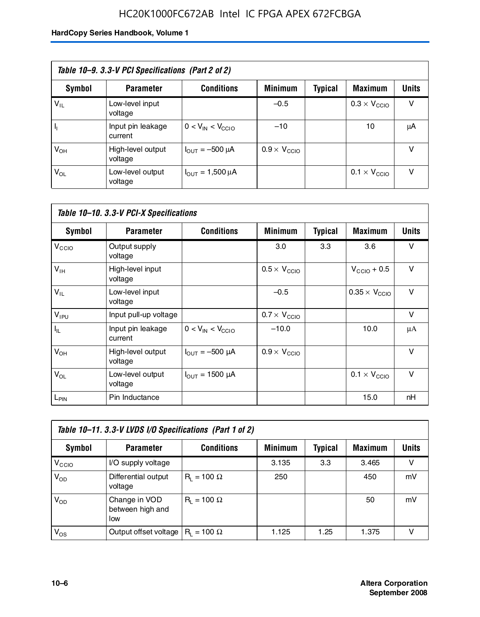### HC20K1000FC672AB Intel IC FPGA APEX 672FCBGA

| Table 10–9. 3.3-V PCI Specifications (Part 2 of 2) |                              |                                        |                              |         |                              |              |  |
|----------------------------------------------------|------------------------------|----------------------------------------|------------------------------|---------|------------------------------|--------------|--|
| Symbol                                             | <b>Parameter</b>             | <b>Conditions</b>                      | <b>Minimum</b>               | Typical | <b>Maximum</b>               | <b>Units</b> |  |
| $V_{IL}$                                           | Low-level input<br>voltage   |                                        | $-0.5$                       |         | $0.3 \times V_{\text{CCIO}}$ | v            |  |
|                                                    | Input pin leakage<br>current | $0 < V_{IN} < V_{CCIO}$                | $-10$                        |         | 10                           | μA           |  |
| $V_{OH}$                                           | High-level output<br>voltage | $I_{\text{OUT}} = -500 \mu A$          | $0.9 \times V_{\text{CCIO}}$ |         |                              | v            |  |
| $V_{OL}$                                           | Low-level output<br>voltage  | $I_{\text{OUT}} = 1,500 \,\mu\text{A}$ |                              |         | $0.1 \times V_{\text{CCIO}}$ | v            |  |

| Table 10-10. 3.3-V PCI-X Specifications |                              |                               |                              |                |                               |              |  |
|-----------------------------------------|------------------------------|-------------------------------|------------------------------|----------------|-------------------------------|--------------|--|
| <b>Symbol</b>                           | <b>Parameter</b>             | <b>Conditions</b>             | <b>Minimum</b>               | <b>Typical</b> | Maximum                       | <b>Units</b> |  |
| V <sub>CCIO</sub>                       | Output supply<br>voltage     |                               | 3.0                          | 3.3            | 3.6                           | v            |  |
| $V_{\text{IH}}$                         | High-level input<br>voltage  |                               | $0.5 \times V_{\text{CCIO}}$ |                | $V_{CClO}$ + 0.5              | $\vee$       |  |
| $V_{IL}$                                | Low-level input<br>voltage   |                               | $-0.5$                       |                | $0.35 \times V_{\text{CCIO}}$ | $\vee$       |  |
| $V_{IPU}$                               | Input pull-up voltage        |                               | $0.7 \times V_{\text{CCIO}}$ |                |                               | $\vee$       |  |
| $I_{\rm IL}$                            | Input pin leakage<br>current | $0 < V_{IN} < V_{CGIO}$       | $-10.0$                      |                | 10.0                          | μA           |  |
| $V_{OH}$                                | High-level output<br>voltage | $I_{\text{OUT}} = -500 \mu A$ | $0.9 \times V_{\text{CCIO}}$ |                |                               | $\vee$       |  |
| $V_{OL}$                                | Low-level output<br>voltage  | $I_{\text{OUT}} = 1500 \mu A$ |                              |                | $0.1 \times V_{\text{CCIO}}$  | $\vee$       |  |
| L <sub>PIN</sub>                        | Pin Inductance               |                               |                              |                | 15.0                          | nH           |  |

| Table 10-11. 3.3-V LVDS I/O Specifications (Part 1 of 2) |                                          |                    |                |                |                |              |  |
|----------------------------------------------------------|------------------------------------------|--------------------|----------------|----------------|----------------|--------------|--|
| Symbol                                                   | <b>Parameter</b>                         | <b>Conditions</b>  | <b>Minimum</b> | <b>Typical</b> | <b>Maximum</b> | <b>Units</b> |  |
| V <sub>CIO</sub>                                         | I/O supply voltage                       |                    | 3.135          | 3.3            | 3.465          | v            |  |
| $V_{OD}$                                                 | Differential output<br>voltage           | $R_i = 100 \Omega$ | 250            |                | 450            | mV           |  |
| $V_{OD}$                                                 | Change in VOD<br>between high and<br>low | $R_1 = 100 \Omega$ |                |                | 50             | mV           |  |
| $V_{OS}$                                                 | Output offset voltage                    | $R_i = 100 \Omega$ | 1.125          | 1.25           | 1.375          | v            |  |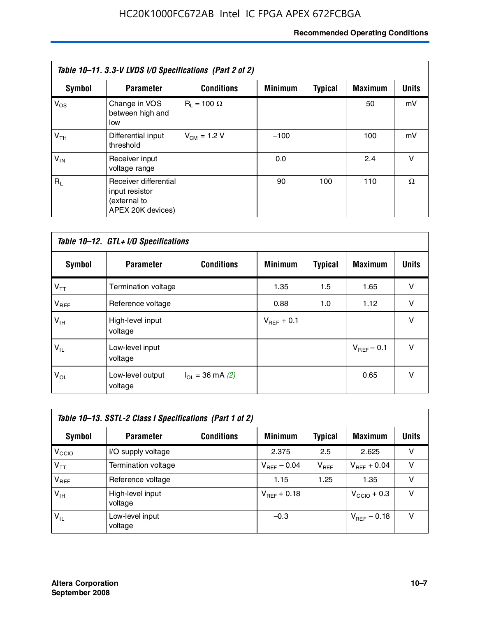#### **Recommended Operating Conditions**

| Table 10–11. 3.3-V LVDS I/O Specifications (Part 2 of 2) |                                                                              |                    |                |                |                |              |  |
|----------------------------------------------------------|------------------------------------------------------------------------------|--------------------|----------------|----------------|----------------|--------------|--|
| Symbol                                                   | <b>Parameter</b>                                                             | <b>Conditions</b>  | <b>Minimum</b> | <b>Typical</b> | <b>Maximum</b> | <b>Units</b> |  |
| $V_{OS}$                                                 | Change in VOS<br>between high and<br>low                                     | $R_1 = 100 \Omega$ |                |                | 50             | mV           |  |
| V <sub>TH</sub>                                          | Differential input<br>threshold                                              | $V_{CM} = 1.2 V$   | $-100$         |                | 100            | mV           |  |
| $V_{IN}$                                                 | Receiver input<br>voltage range                                              |                    | 0.0            |                | 2.4            | $\vee$       |  |
| $R_1$                                                    | Receiver differential<br>input resistor<br>(external to<br>APEX 20K devices) |                    | 90             | 100            | 110            | Ω            |  |

| Table 10-12. GTL+ I/O Specifications |                             |                          |                 |                |                 |              |  |
|--------------------------------------|-----------------------------|--------------------------|-----------------|----------------|-----------------|--------------|--|
| <b>Symbol</b>                        | <b>Parameter</b>            | <b>Conditions</b>        | <b>Minimum</b>  | <b>Typical</b> | <b>Maximum</b>  | <b>Units</b> |  |
| $V_{TT}$                             | Termination voltage         |                          | 1.35            | 1.5            | 1.65            | v            |  |
| $V_{REF}$                            | Reference voltage           |                          | 0.88            | 1.0            | 1.12            | $\vee$       |  |
| $V_{IH}$                             | High-level input<br>voltage |                          | $V_{REF}$ + 0.1 |                |                 | $\vee$       |  |
| $V_{IL}$                             | Low-level input<br>voltage  |                          |                 |                | $V_{BFF}$ – 0.1 | $\vee$       |  |
| $V_{OL}$                             | Low-level output<br>voltage | $I_{\Omega}$ = 36 mA (2) |                 |                | 0.65            | $\vee$       |  |

| Table 10–13. SSTL-2 Class I Specifications (Part 1 of 2) |                             |                   |                  |           |                         |              |  |
|----------------------------------------------------------|-----------------------------|-------------------|------------------|-----------|-------------------------|--------------|--|
| Symbol                                                   | <b>Parameter</b>            | <b>Conditions</b> | <b>Minimum</b>   | Typical   | <b>Maximum</b>          | <b>Units</b> |  |
| V <sub>CCIO</sub>                                        | I/O supply voltage          |                   | 2.375            | 2.5       | 2.625                   | v            |  |
| $V_{TT}$                                                 | Termination voltage         |                   | $V_{REF}$ – 0.04 | $V_{REF}$ | $V_{REF}$ + 0.04        | v            |  |
| $V_{BEF}$                                                | Reference voltage           |                   | 1.15             | 1.25      | 1.35                    | v            |  |
| $V_{IH}$                                                 | High-level input<br>voltage |                   | $V_{REF}$ + 0.18 |           | $V_{\text{CCIO}} + 0.3$ | v            |  |
| $V_{\rm IL}$                                             | Low-level input<br>voltage  |                   | $-0.3$           |           | $V_{BFE}$ – 0.18        | v            |  |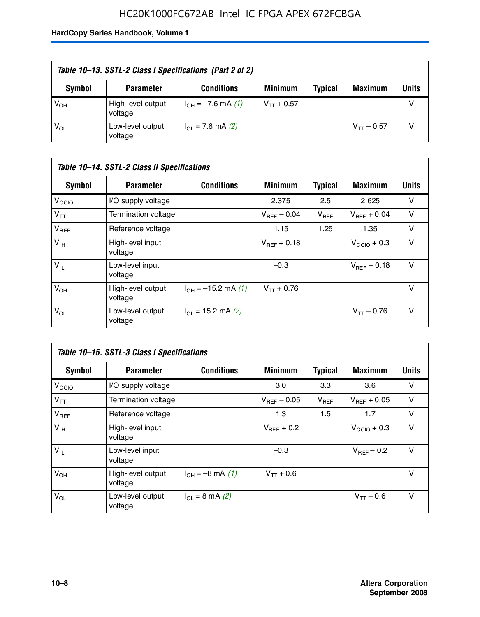### HC20K1000FC672AB Intel IC FPGA APEX 672FCBGA

| Table 10–13. SSTL-2 Class I Specifications (Part 2 of 2) |                              |                           |                 |                |                 |              |
|----------------------------------------------------------|------------------------------|---------------------------|-----------------|----------------|-----------------|--------------|
| Symbol                                                   | <b>Parameter</b>             | <b>Conditions</b>         | <b>Minimum</b>  | <b>Typical</b> | <b>Maximum</b>  | <b>Units</b> |
| $V_{OH}$                                                 | High-level output<br>voltage | $I_{OH} = -7.6$ mA (1)    | $V_{TT}$ + 0.57 |                |                 |              |
| $V_{OL}$                                                 | Low-level output<br>voltage  | $I_{\Omega}$ = 7.6 mA (2) |                 |                | $V_{TT}$ – 0.57 |              |

| Table 10–14. SSTL-2 Class II Specifications |                              |                                       |                         |                |                  |              |  |
|---------------------------------------------|------------------------------|---------------------------------------|-------------------------|----------------|------------------|--------------|--|
| <b>Symbol</b>                               | <b>Parameter</b>             | <b>Conditions</b>                     | <b>Minimum</b>          | <b>Typical</b> | <b>Maximum</b>   | <b>Units</b> |  |
| V <sub>CCIO</sub>                           | I/O supply voltage           |                                       | 2.375                   | 2.5            | 2.625            | v            |  |
| $V_{TT}$                                    | <b>Termination voltage</b>   |                                       | $V_{\text{BFE}} - 0.04$ | $V_{REF}$      | $V_{BFF}$ + 0.04 | v            |  |
| $V_{REF}$                                   | Reference voltage            |                                       | 1.15                    | 1.25           | 1.35             | v            |  |
| $V_{IH}$                                    | High-level input<br>voltage  |                                       | $V_{BFF}$ + 0.18        |                | $V_{CCD}$ + 0.3  | v            |  |
| $V_{IL}$                                    | Low-level input<br>voltage   |                                       | $-0.3$                  |                | $V_{BFE} = 0.18$ | v            |  |
| $V_{OH}$                                    | High-level output<br>voltage | $I_{OH} = -15.2$ mA (1)               | $V_{TT}$ + 0.76         |                |                  | v            |  |
| $V_{OL}$                                    | Low-level output<br>voltage  | $I_{\text{O1}} = 15.2 \text{ mA} (2)$ |                         |                | $V_{TT} - 0.76$  | $\vee$       |  |

| Table 10–15. SSTL-3 Class I Specifications |                              |                                 |                         |                |                         |              |  |
|--------------------------------------------|------------------------------|---------------------------------|-------------------------|----------------|-------------------------|--------------|--|
| <b>Symbol</b>                              | <b>Parameter</b>             | <b>Conditions</b>               | <b>Minimum</b>          | <b>Typical</b> | <b>Maximum</b>          | <b>Units</b> |  |
| $V_{\text{CCIO}}$                          | I/O supply voltage           |                                 | 3.0                     | 3.3            | 3.6                     | v            |  |
| $V_{TT}$                                   | Termination voltage          |                                 | $V_{\text{BFE}} - 0.05$ | $V_{REF}$      | $V_{BFF}$ + 0.05        | v            |  |
| $V_{REF}$                                  | Reference voltage            |                                 | 1.3                     | 1.5            | 1.7                     | v            |  |
| $V_{\text{IH}}$                            | High-level input<br>voltage  |                                 | $V_{BFF}$ + 0.2         |                | $V_{\text{CCIO}} + 0.3$ | v            |  |
| $V_{IL}$                                   | Low-level input<br>voltage   |                                 | $-0.3$                  |                | $V_{\text{BFF}}$ – 0.2  | v            |  |
| $V_{OH}$                                   | High-level output<br>voltage | $I_{OH} = -8 \text{ mA}$ (1)    | $V_{TT} + 0.6$          |                |                         | v            |  |
| $V_{OL}$                                   | Low-level output<br>voltage  | $I_{\Omega} = 8 \text{ mA} (2)$ |                         |                | $V_{TT} - 0.6$          | v            |  |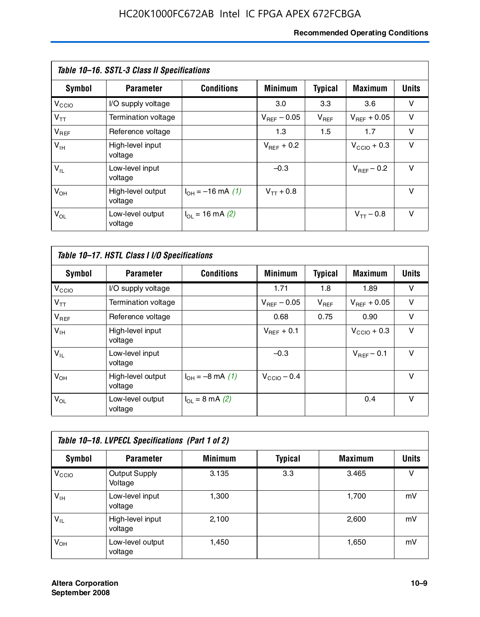#### **Recommended Operating Conditions**

| Table 10–16. SSTL-3 Class II Specifications |                              |                          |                         |                |                        |              |  |
|---------------------------------------------|------------------------------|--------------------------|-------------------------|----------------|------------------------|--------------|--|
| <b>Symbol</b>                               | <b>Parameter</b>             | <b>Conditions</b>        | <b>Minimum</b>          | <b>Typical</b> | <b>Maximum</b>         | <b>Units</b> |  |
| $V_{\rm CCIO}$                              | I/O supply voltage           |                          | 3.0                     | 3.3            | 3.6                    | v            |  |
| $V_{TT}$                                    | Termination voltage          |                          | $V_{\text{BFE}} - 0.05$ | $V_{REF}$      | $V_{BFF}$ + 0.05       | v            |  |
| $V_{REF}$                                   | Reference voltage            |                          | 1.3                     | 1.5            | 1.7                    | v            |  |
| $V_{IH}$                                    | High-level input<br>voltage  |                          | $V_{\text{BFF}} + 0.2$  |                | $V_{CCD}$ + 0.3        | v            |  |
| $V_{IL}$                                    | Low-level input<br>voltage   |                          | $-0.3$                  |                | $V_{\text{BFF}}$ – 0.2 | $\vee$       |  |
| $V_{OH}$                                    | High-level output<br>voltage | $I_{OH} = -16$ mA (1)    | $V_{TT}$ + 0.8          |                |                        | $\vee$       |  |
| $V_{OL}$                                    | Low-level output<br>voltage  | $I_{\Omega}$ = 16 mA (2) |                         |                | $V_{TT} - 0.8$         | v            |  |

| Table 10-17. HSTL Class I I/O Specifications |                              |                                 |                         |                |                         |        |  |
|----------------------------------------------|------------------------------|---------------------------------|-------------------------|----------------|-------------------------|--------|--|
| Symbol                                       | <b>Parameter</b>             | <b>Conditions</b>               | <b>Minimum</b>          | <b>Typical</b> | <b>Maximum</b>          | Units  |  |
| V <sub>CCIO</sub>                            | I/O supply voltage           |                                 | 1.71                    | 1.8            | 1.89                    | v      |  |
| $V_{TT}$                                     | Termination voltage          |                                 | $V_{\text{BFE}} - 0.05$ | $V_{REF}$      | $V_{BFF}$ + 0.05        | $\vee$ |  |
| $V_{REF}$                                    | Reference voltage            |                                 | 0.68                    | 0.75           | 0.90                    | $\vee$ |  |
| $V_{\text{IH}}$                              | High-level input<br>voltage  |                                 | $V_{BFF}$ + 0.1         |                | $V_{\text{CCIO}} + 0.3$ | $\vee$ |  |
| $V_{IL}$                                     | Low-level input<br>voltage   |                                 | $-0.3$                  |                | $V_{BFF}$ – 0.1         | $\vee$ |  |
| $V_{OH}$                                     | High-level output<br>voltage | $I_{OH} = -8$ mA (1)            | $V_{\text{CCIO}} - 0.4$ |                |                         | v      |  |
| $V_{OL}$                                     | Low-level output<br>voltage  | $I_{\Omega} = 8 \text{ mA}$ (2) |                         |                | 0.4                     | $\vee$ |  |

| Table 10-18. LVPECL Specifications (Part 1 of 2) |                                 |                |                |                |              |  |  |
|--------------------------------------------------|---------------------------------|----------------|----------------|----------------|--------------|--|--|
| Symbol                                           | <b>Parameter</b>                | <b>Minimum</b> | <b>Typical</b> | <b>Maximum</b> | <b>Units</b> |  |  |
| V <sub>CIO</sub>                                 | <b>Output Supply</b><br>Voltage | 3.135          | 3.3            | 3.465          | v            |  |  |
| $V_{IH}$                                         | Low-level input<br>voltage      | 1,300          |                | 1,700          | mV           |  |  |
| $V_{IL}$                                         | High-level input<br>voltage     | 2,100          |                | 2,600          | mV           |  |  |
| $V_{OH}$                                         | Low-level output<br>voltage     | 1.450          |                | 1,650          | mV           |  |  |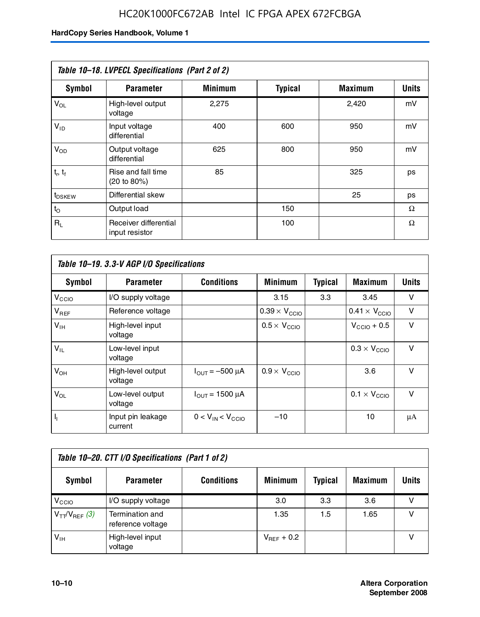| Table 10-18. LVPECL Specifications (Part 2 of 2) |                                         |                |                |                |              |  |  |
|--------------------------------------------------|-----------------------------------------|----------------|----------------|----------------|--------------|--|--|
| <b>Symbol</b>                                    | <b>Parameter</b>                        | <b>Minimum</b> | <b>Typical</b> | <b>Maximum</b> | <b>Units</b> |  |  |
| $V_{OL}$                                         | High-level output<br>voltage            | 2,275          |                | 2,420          | mV           |  |  |
| $V_{ID}$                                         | Input voltage<br>differential           | 400            | 600            | 950            | mV           |  |  |
| $V_{OD}$                                         | Output voltage<br>differential          | 625            | 800            | 950            | mV           |  |  |
| $t_r$ , $t_f$                                    | Rise and fall time<br>(20 to 80%)       | 85             |                | 325            | ps           |  |  |
| $t_{DSKEY}$                                      | Differential skew                       |                |                | 25             | ps           |  |  |
| $t_{\rm O}$                                      | Output load                             |                | 150            |                | Ω            |  |  |
| $R_1$                                            | Receiver differential<br>input resistor |                | 100            |                | Ω            |  |  |

| Table 10-19. 3.3-V AGP I/O Specifications |                              |                               |                               |                |                               |              |  |
|-------------------------------------------|------------------------------|-------------------------------|-------------------------------|----------------|-------------------------------|--------------|--|
| Symbol                                    | <b>Parameter</b>             | <b>Conditions</b>             | <b>Minimum</b>                | <b>Typical</b> | <b>Maximum</b>                | <b>Units</b> |  |
| V <sub>CCIO</sub>                         | I/O supply voltage           |                               | 3.15                          | 3.3            | 3.45                          | v            |  |
| $V_{REF}$                                 | Reference voltage            |                               | $0.39 \times V_{\text{CCIO}}$ |                | $0.41 \times V_{\text{CCIO}}$ | v            |  |
| $V_{\text{IH}}$                           | High-level input<br>voltage  |                               | $0.5 \times V_{\text{CCIO}}$  |                | $V_{\text{CCIO}} + 0.5$       | v            |  |
| $V_{IL}$                                  | Low-level input<br>voltage   |                               |                               |                | $0.3 \times V_{\text{CCIO}}$  | v            |  |
| $V_{OH}$                                  | High-level output<br>voltage | $I_{OUT} = -500 \mu A$        | $0.9 \times V_{\text{CCIO}}$  |                | 3.6                           | v            |  |
| $V_{OL}$                                  | Low-level output<br>voltage  | $I_{\text{OUT}} = 1500 \mu A$ |                               |                | $0.1 \times V_{\text{CCIO}}$  | v            |  |
| $I_1$                                     | Input pin leakage<br>current | $0 < V_{IN} < V_{CCIO}$       | $-10$                         |                | 10                            | μA           |  |

| Table 10–20. CTT I/O Specifications (Part 1 of 2) |                                      |                   |                 |                |                |       |  |
|---------------------------------------------------|--------------------------------------|-------------------|-----------------|----------------|----------------|-------|--|
| <b>Symbol</b>                                     | <b>Parameter</b>                     | <b>Conditions</b> | <b>Minimum</b>  | <b>Typical</b> | <b>Maximum</b> | Units |  |
| V <sub>CIO</sub>                                  | I/O supply voltage                   |                   | 3.0             | 3.3            | 3.6            |       |  |
| $V_{TT}/V_{REF}$ (3)                              | Termination and<br>reference voltage |                   | 1.35            | 1.5            | 1.65           |       |  |
| $V_{IH}$                                          | High-level input<br>voltage          |                   | $V_{BFF}$ + 0.2 |                |                |       |  |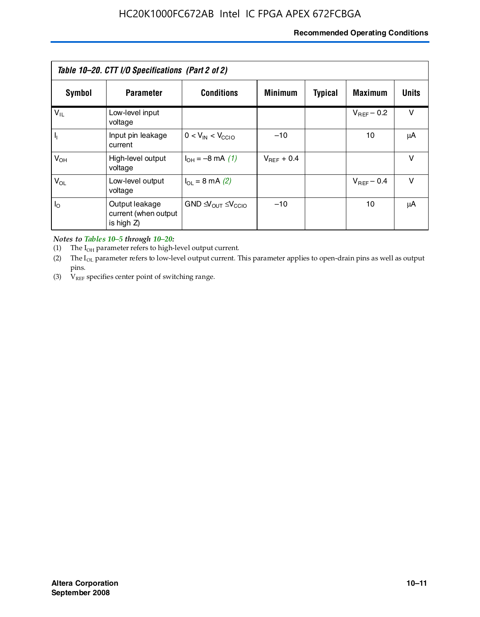#### **Recommended Operating Conditions**

| Table 10–20. CTT I/O Specifications (Part 2 of 2) |                                                      |                                             |                 |                |                 |        |  |
|---------------------------------------------------|------------------------------------------------------|---------------------------------------------|-----------------|----------------|-----------------|--------|--|
| Symbol                                            | <b>Parameter</b>                                     | <b>Conditions</b>                           | <b>Minimum</b>  | <b>Typical</b> | <b>Maximum</b>  | Units  |  |
| $V_{IL}$                                          | Low-level input<br>voltage                           |                                             |                 |                | $V_{BFF}$ – 0.2 | v      |  |
| $\mathbf{I}_{\mathbf{I}}$                         | Input pin leakage<br>current                         | $0 < V_{IN} < V_{CCIO}$                     | $-10$           |                | 10              | μA     |  |
| $V_{OH}$                                          | High-level output<br>voltage                         | $I_{OH} = -8$ mA (1)                        | $V_{BFF}$ + 0.4 |                |                 | v      |  |
| $V_{OL}$                                          | Low-level output<br>voltage                          | $I_{\Omega}$ = 8 mA (2)                     |                 |                | $V_{BFF}$ – 0.4 | $\vee$ |  |
| $I_{\odot}$                                       | Output leakage<br>current (when output<br>is high Z) | $GND \trianglelefteq V_{OUT} \leq V_{CCIO}$ | $-10$           |                | 10              | μA     |  |

*Notes to Tables 10–5 through 10–20:*

(1) The  $I_{OH}$  parameter refers to high-level output current.

(2) The  $I_{OL}$  parameter refers to low-level output current. This parameter applies to open-drain pins as well as output pins.

(3)  $V_{REF}$  specifies center point of switching range.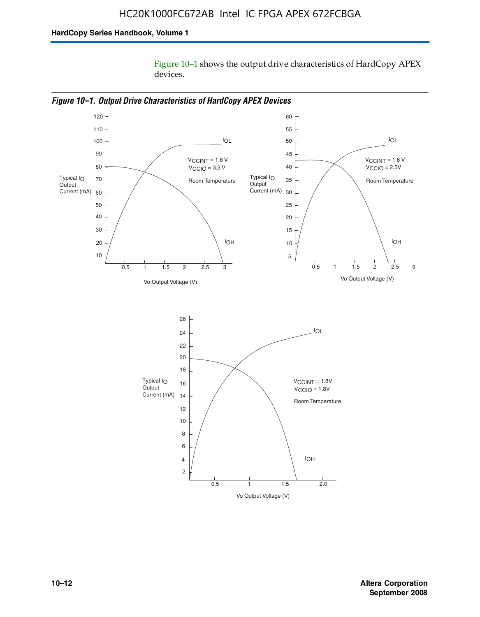Figure 10–1 shows the output drive characteristics of HardCopy APEX devices.



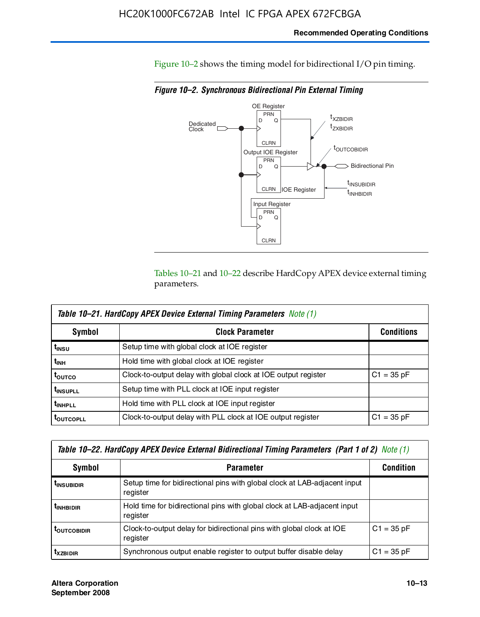#### **Recommended Operating Conditions**

Figure 10–2 shows the timing model for bidirectional I/O pin timing.

*Figure 10–2. Synchronous Bidirectional Pin External Timing*



Tables 10–21 and 10–22 describe HardCopy APEX device external timing parameters.

| <b>Table 10–21. HardCopy APEX Device External Timing Parameters Note (1)</b> |                                                                |                   |  |  |  |  |
|------------------------------------------------------------------------------|----------------------------------------------------------------|-------------------|--|--|--|--|
| Symbol                                                                       | <b>Clock Parameter</b>                                         | <b>Conditions</b> |  |  |  |  |
| t <sub>insu</sub>                                                            | Setup time with global clock at IOE register                   |                   |  |  |  |  |
| t <sub>інн</sub>                                                             | Hold time with global clock at IOE register                    |                   |  |  |  |  |
| t <sub>outco</sub>                                                           | Clock-to-output delay with global clock at IOE output register | $C1 = 35 pF$      |  |  |  |  |
| <b>t</b> INSUPLL                                                             | Setup time with PLL clock at IOE input register                |                   |  |  |  |  |
| t <sub>inhpll</sub>                                                          | Hold time with PLL clock at IOE input register                 |                   |  |  |  |  |
| <b>TOUTCOPLL</b>                                                             | Clock-to-output delay with PLL clock at IOE output register    | $C1 = 35 pF$      |  |  |  |  |

| Table 10–22. HardCopy APEX Device External Bidirectional Timing Parameters (Part 1 of 2) Note (1) |                                                                                       |              |  |  |  |  |
|---------------------------------------------------------------------------------------------------|---------------------------------------------------------------------------------------|--------------|--|--|--|--|
| Symbol                                                                                            | <b>Condition</b>                                                                      |              |  |  |  |  |
| <b><i>L</i>INSUBIDIR</b>                                                                          | Setup time for bidirectional pins with global clock at LAB-adjacent input<br>register |              |  |  |  |  |
| <b><i>L</i>INHBIDIR</b>                                                                           | Hold time for bidirectional pins with global clock at LAB-adjacent input<br>register  |              |  |  |  |  |
| <b>LOUTCOBIDIR</b>                                                                                | Clock-to-output delay for bidirectional pins with global clock at IOE<br>register     | $C1 = 35 pF$ |  |  |  |  |
| <b>T</b> x <sub>7BIDIR</sub>                                                                      | Synchronous output enable register to output buffer disable delay                     | $C1 = 35 pF$ |  |  |  |  |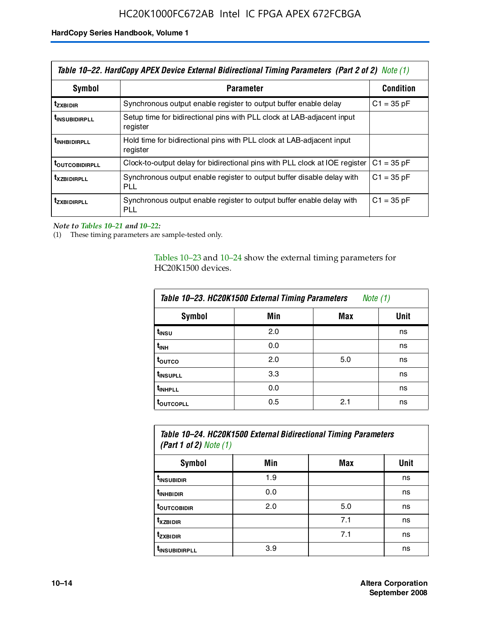| Table 10–22. HardCopy APEX Device External Bidirectional Timing Parameters (Part 2 of 2) Note (1) |                                                                                    |                  |  |  |  |
|---------------------------------------------------------------------------------------------------|------------------------------------------------------------------------------------|------------------|--|--|--|
| Symbol                                                                                            | <b>Parameter</b>                                                                   | <b>Condition</b> |  |  |  |
| t <sub>zxbidir</sub>                                                                              | Synchronous output enable register to output buffer enable delay                   | $C1 = 35 pF$     |  |  |  |
| <b>t</b> insubidirpll                                                                             | Setup time for bidirectional pins with PLL clock at LAB-adiacent input<br>register |                  |  |  |  |
| <b><i>LINHBIDIRPLL</i></b>                                                                        | Hold time for bidirectional pins with PLL clock at LAB-adjacent input<br>register  |                  |  |  |  |
| <b>TOUTCOBIDIRPLL</b>                                                                             | Clock-to-output delay for bidirectional pins with PLL clock at IOE register        | $C1 = 35 pF$     |  |  |  |
| <b>TXZBIDIRPLL</b>                                                                                | Synchronous output enable register to output buffer disable delay with<br>PLL      | $C1 = 35 pF$     |  |  |  |
| <i>t</i> zxbidirpll                                                                               | Synchronous output enable register to output buffer enable delay with<br>PLI.      | $C1 = 35 pF$     |  |  |  |

*Note to Tables 10–21 and 10–22:*

(1) These timing parameters are sample-tested only.

Tables 10–23 and 10–24 show the external timing parameters for HC20K1500 devices.

| Table 10-23. HC20K1500 External Timing Parameters<br>Note (1) |     |     |      |
|---------------------------------------------------------------|-----|-----|------|
| <b>Symbol</b>                                                 | Min | Max | Unit |
| t <sub>INSU</sub>                                             | 2.0 |     | ns   |
| $t_{\sf INH}$                                                 | 0.0 |     | ns   |
| t <sub>outco</sub>                                            | 2.0 | 5.0 | ns   |
| t <sub>INSUPLL</sub>                                          | 3.3 |     | ns   |
| t <sub>INHPLL</sub>                                           | 0.0 |     | ns   |
| <b>toutcopll</b>                                              | 0.5 | 2.1 | ns   |

| Table 10–24. HC20K1500 External Bidirectional Timing Parameters<br>(Part 1 of 2) Note $(1)$ |     |     |      |
|---------------------------------------------------------------------------------------------|-----|-----|------|
| Symbol                                                                                      | Min | Max | Unit |
| t <sub>insubidir</sub>                                                                      | 1.9 |     | ns   |
| t <sub>inhBidir</sub>                                                                       | 0.0 |     | ns   |
| <b>TOUTCOBIDIR</b>                                                                          | 2.0 | 5.0 | ns   |

**tXZBIDIR** 7.1 ns **t<sub>zxbidir</sub>** https://www.flood.com/distance/community/community/community/community/community/community/community/ t<sub>INSUBIDIRPLL</sub> 3.9 and 3.9 ns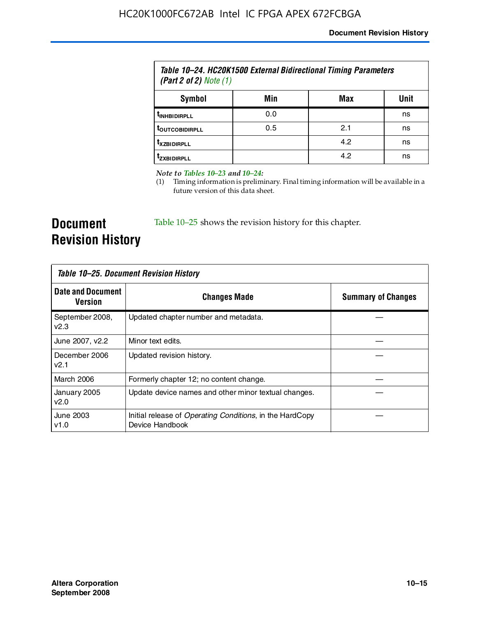| Table 10–24. HC20K1500 External Bidirectional Timing Parameters<br>(Part 2 of 2) Note $(1)$ |     |     |      |
|---------------------------------------------------------------------------------------------|-----|-----|------|
| Symbol                                                                                      | Min | Max | Unit |
| <b><i>UNHBIDIRPLL</i></b>                                                                   | 0.0 |     | ns   |
| <b><i>LOUTCOBIDIRPLL</i></b>                                                                | 0.5 | 2.1 | ns   |
| <b>T</b> XZBIDIRPLL                                                                         |     | 4.2 | ns   |
| <sup>T</sup> ZXBIDIRPLL                                                                     |     | 4.2 | ns   |

*Note to Tables 10–23 and 10–24:*

(1) Timing information is preliminary. Final timing information will be available in a future version of this data sheet.

**Document Revision History**

Table 10–25 shows the revision history for this chapter.

| Table 10–25. Document Revision History |                                                                                     |                           |  |
|----------------------------------------|-------------------------------------------------------------------------------------|---------------------------|--|
| <b>Date and Document</b><br>Version    | <b>Changes Made</b>                                                                 | <b>Summary of Changes</b> |  |
| September 2008,<br>v2.3                | Updated chapter number and metadata.                                                |                           |  |
| June 2007, v2.2                        | Minor text edits.                                                                   |                           |  |
| December 2006<br>v2.1                  | Updated revision history.                                                           |                           |  |
| March 2006                             | Formerly chapter 12; no content change.                                             |                           |  |
| January 2005<br>v2.0                   | Update device names and other minor textual changes.                                |                           |  |
| June 2003<br>v1.0                      | Initial release of <i>Operating Conditions</i> , in the HardCopy<br>Device Handbook |                           |  |